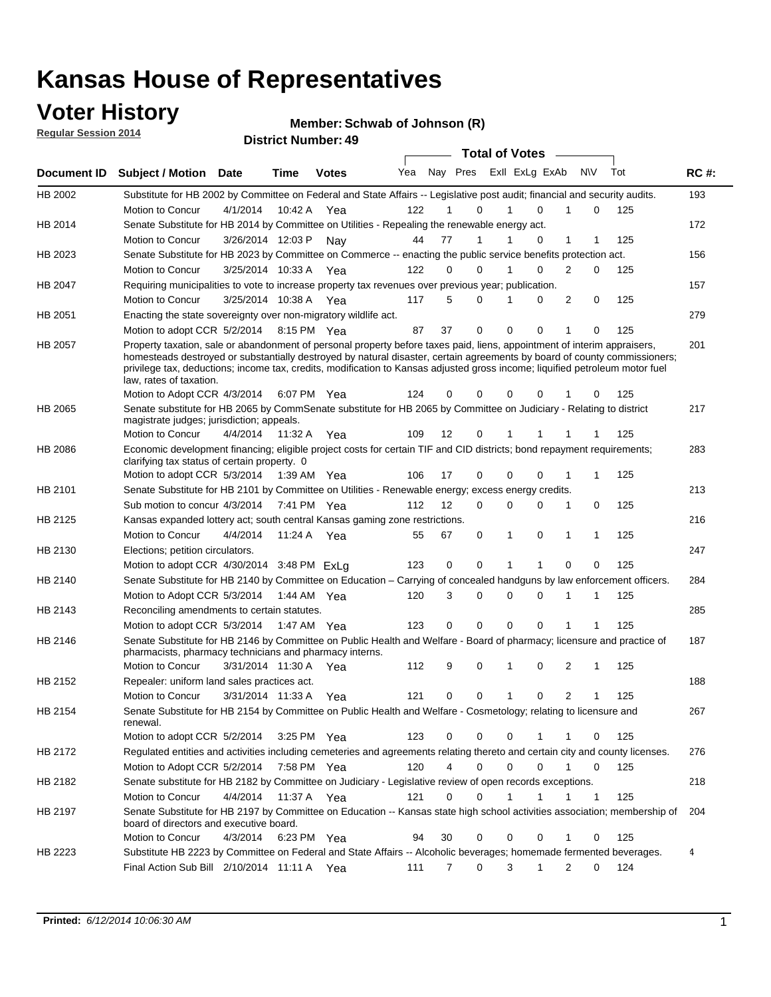### **Voter History**

**Regular Session 2014**

#### **Member: Schwab of Johnson (R)**

|             | <b>DISUILLINUIIIDEL. 43</b><br><b>Total of Votes</b><br>Nay Pres Exll ExLg ExAb                                                                                                                                                                                                                                                                                                                                  |                       |             |              |     |    |                  |  |             |             |                |              |     |             |
|-------------|------------------------------------------------------------------------------------------------------------------------------------------------------------------------------------------------------------------------------------------------------------------------------------------------------------------------------------------------------------------------------------------------------------------|-----------------------|-------------|--------------|-----|----|------------------|--|-------------|-------------|----------------|--------------|-----|-------------|
| Document ID | <b>Subject / Motion</b>                                                                                                                                                                                                                                                                                                                                                                                          | Date                  | Time        | <b>Votes</b> | Yea |    |                  |  |             |             | <b>NV</b>      |              | Tot | <b>RC#:</b> |
| HB 2002     | Substitute for HB 2002 by Committee on Federal and State Affairs -- Legislative post audit; financial and security audits.                                                                                                                                                                                                                                                                                       |                       |             |              |     |    |                  |  |             |             |                |              |     | 193         |
|             | Motion to Concur                                                                                                                                                                                                                                                                                                                                                                                                 | 4/1/2014              | 10:42 A     | Yea          | 122 |    | 0                |  |             | $\Omega$    |                | 0            | 125 |             |
| HB 2014     | Senate Substitute for HB 2014 by Committee on Utilities - Repealing the renewable energy act.                                                                                                                                                                                                                                                                                                                    |                       |             |              |     |    |                  |  |             |             |                |              |     | 172         |
|             | Motion to Concur                                                                                                                                                                                                                                                                                                                                                                                                 | 3/26/2014 12:03 P Nay |             |              | 44  | 77 | 1                |  |             | 0           | 1              | 1            | 125 |             |
| HB 2023     | Senate Substitute for HB 2023 by Committee on Commerce -- enacting the public service benefits protection act.                                                                                                                                                                                                                                                                                                   |                       |             |              |     |    |                  |  |             |             |                |              |     | 156         |
|             | Motion to Concur                                                                                                                                                                                                                                                                                                                                                                                                 | 3/25/2014 10:33 A Yea |             |              | 122 |    | 0<br>0           |  | 1           | 0           | 2              | 0            | 125 |             |
| HB 2047     | Requiring municipalities to vote to increase property tax revenues over previous year; publication.                                                                                                                                                                                                                                                                                                              |                       |             |              |     |    |                  |  |             |             |                |              |     | 157         |
|             | Motion to Concur                                                                                                                                                                                                                                                                                                                                                                                                 | 3/25/2014 10:38 A Yea |             |              | 117 |    | 5<br>0           |  |             | 0           | 2              | 0            | 125 |             |
| HB 2051     | Enacting the state sovereignty over non-migratory wildlife act.                                                                                                                                                                                                                                                                                                                                                  |                       |             |              |     |    |                  |  |             |             |                |              |     | 279         |
|             | Motion to adopt CCR 5/2/2014                                                                                                                                                                                                                                                                                                                                                                                     |                       | 8:15 PM Yea |              | 87  | 37 | $\mathbf 0$      |  | $\mathbf 0$ | 0           | 1              | 0            | 125 |             |
| HB 2057     | Property taxation, sale or abandonment of personal property before taxes paid, liens, appointment of interim appraisers,<br>homesteads destroyed or substantially destroyed by natural disaster, certain agreements by board of county commissioners;<br>privilege tax, deductions; income tax, credits, modification to Kansas adjusted gross income; liquified petroleum motor fuel<br>law, rates of taxation. |                       |             | 6:07 PM Yea  | 124 | 0  | 0                |  | $\mathbf 0$ | 0           |                | 0            | 125 | 201         |
| HB 2065     | Motion to Adopt CCR 4/3/2014                                                                                                                                                                                                                                                                                                                                                                                     |                       |             |              |     |    |                  |  |             |             |                |              |     |             |
|             | Senate substitute for HB 2065 by CommSenate substitute for HB 2065 by Committee on Judiciary - Relating to district<br>magistrate judges; jurisdiction; appeals.                                                                                                                                                                                                                                                 |                       |             |              |     |    |                  |  |             |             |                |              |     | 217         |
|             | Motion to Concur                                                                                                                                                                                                                                                                                                                                                                                                 | 4/4/2014              | 11:32 A     | Yea          | 109 | 12 | 0                |  | 1           |             |                |              | 125 |             |
| HB 2086     | Economic development financing; eligible project costs for certain TIF and CID districts; bond repayment requirements;<br>clarifying tax status of certain property. 0                                                                                                                                                                                                                                           |                       |             |              |     |    |                  |  |             |             |                |              |     | 283         |
|             | Motion to adopt CCR 5/3/2014                                                                                                                                                                                                                                                                                                                                                                                     |                       | 1:39 AM Yea |              | 106 | 17 | 0                |  | $\mathbf 0$ | $\Omega$    | 1              | 1            | 125 |             |
| HB 2101     | Senate Substitute for HB 2101 by Committee on Utilities - Renewable energy; excess energy credits.                                                                                                                                                                                                                                                                                                               |                       |             |              |     |    |                  |  |             |             |                |              |     | 213         |
|             | Sub motion to concur 4/3/2014                                                                                                                                                                                                                                                                                                                                                                                    |                       |             | 7:41 PM Yea  | 112 | 12 | 0                |  | $\mathbf 0$ | $\mathbf 0$ | 1              | 0            | 125 |             |
| HB 2125     | Kansas expanded lottery act; south central Kansas gaming zone restrictions.                                                                                                                                                                                                                                                                                                                                      |                       |             |              |     |    |                  |  |             |             |                |              |     | 216         |
|             | Motion to Concur                                                                                                                                                                                                                                                                                                                                                                                                 | 4/4/2014              | 11:24 A     | Yea          | 55  | 67 | 0                |  | 1           | 0           | 1              | 1            | 125 |             |
| HB 2130     | Elections; petition circulators.                                                                                                                                                                                                                                                                                                                                                                                 |                       |             |              |     |    |                  |  |             |             |                |              |     | 247         |
|             | Motion to adopt CCR 4/30/2014 3:48 PM ExLa                                                                                                                                                                                                                                                                                                                                                                       |                       |             |              | 123 | 0  | 0                |  |             |             | 0              | 0            | 125 |             |
| HB 2140     | Senate Substitute for HB 2140 by Committee on Education – Carrying of concealed handguns by law enforcement officers.                                                                                                                                                                                                                                                                                            |                       |             |              |     |    |                  |  |             |             |                |              |     | 284         |
|             | Motion to Adopt CCR 5/3/2014                                                                                                                                                                                                                                                                                                                                                                                     |                       |             | 1:44 AM Yea  | 120 |    | 3<br>0           |  | $\mathbf 0$ | $\mathbf 0$ | 1              | 1            | 125 |             |
| HB 2143     | Reconciling amendments to certain statutes.                                                                                                                                                                                                                                                                                                                                                                      |                       |             |              |     |    |                  |  |             |             |                |              |     | 285         |
|             | Motion to adopt CCR 5/3/2014                                                                                                                                                                                                                                                                                                                                                                                     |                       | 1:47 AM Yea |              | 123 |    | 0<br>0           |  | $\mathbf 0$ | $\mathbf 0$ | 1              | 1            | 125 |             |
| HB 2146     | Senate Substitute for HB 2146 by Committee on Public Health and Welfare - Board of pharmacy; licensure and practice of<br>pharmacists, pharmacy technicians and pharmacy interns.                                                                                                                                                                                                                                |                       |             |              |     |    |                  |  |             |             |                |              |     | 187         |
|             | Motion to Concur                                                                                                                                                                                                                                                                                                                                                                                                 | 3/31/2014 11:30 A     |             | Yea          | 112 |    | 9<br>0           |  | 1           | 0           | 2              | 1            | 125 |             |
| HB 2152     | Repealer: uniform land sales practices act.                                                                                                                                                                                                                                                                                                                                                                      |                       |             |              |     |    |                  |  |             |             |                |              |     | 188         |
|             | Motion to Concur                                                                                                                                                                                                                                                                                                                                                                                                 | 3/31/2014 11:33 A     |             | Yea          | 121 | 0  | 0                |  | 1           | 0           | $\overline{2}$ | 1            | 125 |             |
| HB 2154     | Senate Substitute for HB 2154 by Committee on Public Health and Welfare - Cosmetology; relating to licensure and<br>renewal.                                                                                                                                                                                                                                                                                     |                       |             |              |     |    |                  |  |             |             |                |              |     | 267         |
|             | Motion to adopt CCR 5/2/2014                                                                                                                                                                                                                                                                                                                                                                                     |                       |             | 3:25 PM Yea  | 123 |    | 0<br>0           |  | 0           | 1           | 1              | 0            | 125 |             |
| HB 2172     | Regulated entities and activities including cemeteries and agreements relating thereto and certain city and county licenses.                                                                                                                                                                                                                                                                                     |                       |             |              |     |    |                  |  |             |             |                |              |     | 276         |
|             | Motion to Adopt CCR 5/2/2014                                                                                                                                                                                                                                                                                                                                                                                     |                       |             | 7:58 PM Yea  | 120 |    | 4<br>$\mathbf 0$ |  | $\mathbf 0$ | $\Omega$    | $\mathbf{1}$   | $\mathbf 0$  | 125 |             |
| HB 2182     | Senate substitute for HB 2182 by Committee on Judiciary - Legislative review of open records exceptions.                                                                                                                                                                                                                                                                                                         |                       |             |              |     |    |                  |  |             |             |                |              |     | 218         |
|             | Motion to Concur                                                                                                                                                                                                                                                                                                                                                                                                 | 4/4/2014              | 11:37 A Yea |              | 121 | 0  | $\mathbf 0$      |  | 1           | 1           | 1              | $\mathbf{1}$ | 125 |             |
| HB 2197     | Senate Substitute for HB 2197 by Committee on Education -- Kansas state high school activities association; membership of<br>board of directors and executive board.                                                                                                                                                                                                                                             |                       |             |              |     |    |                  |  |             |             |                |              |     | 204         |
|             | Motion to Concur                                                                                                                                                                                                                                                                                                                                                                                                 | 4/3/2014              |             | 6:23 PM Yea  | 94  | 30 | 0                |  | 0           | 0           | 1              | 0            | 125 |             |
| HB 2223     | Substitute HB 2223 by Committee on Federal and State Affairs -- Alcoholic beverages; homemade fermented beverages.                                                                                                                                                                                                                                                                                               |                       |             |              |     |    |                  |  |             |             |                |              |     | 4           |
|             | Final Action Sub Bill 2/10/2014 11:11 A Yea                                                                                                                                                                                                                                                                                                                                                                      |                       |             |              | 111 |    | 0<br>7           |  | 3           | 1           | 2              | 0            | 124 |             |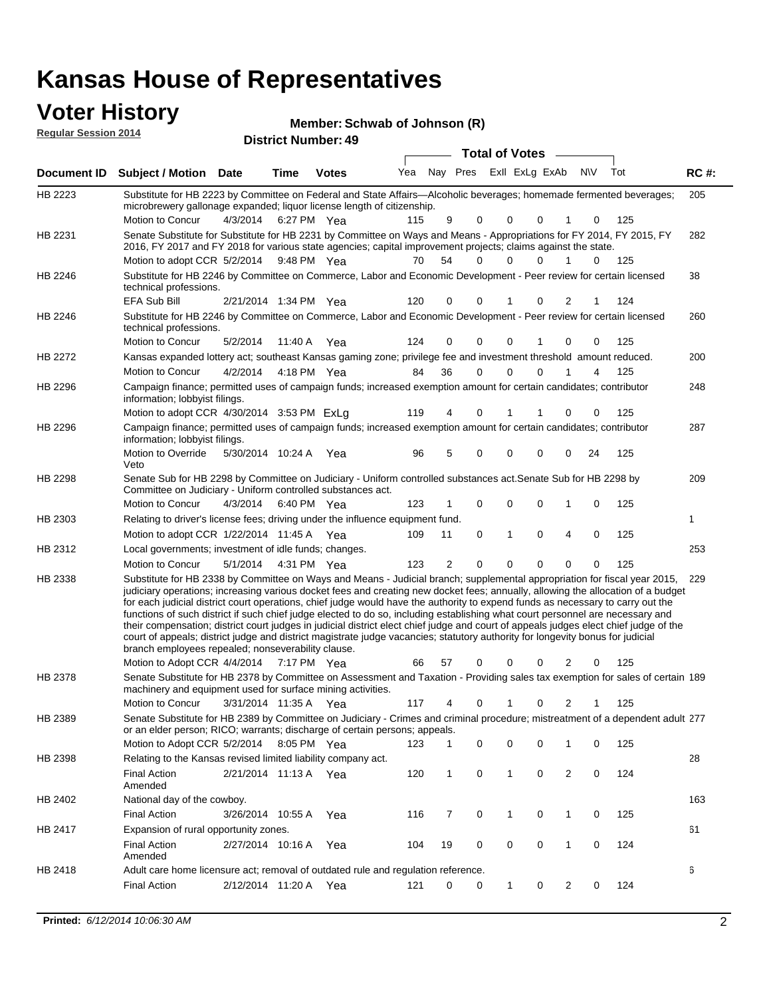### **Voter History**

| <b>VULGE LIBLUI Y</b><br><b>Reqular Session 2014</b> |                                                                                                                                                                                                                                                                                                                                                                                                                                                                                                                                                                              | Member: Schwab of Johnson (R)<br><b>District Number: 49</b> |      |              |     |     |      |                       |                         |  |     |     |             |
|------------------------------------------------------|------------------------------------------------------------------------------------------------------------------------------------------------------------------------------------------------------------------------------------------------------------------------------------------------------------------------------------------------------------------------------------------------------------------------------------------------------------------------------------------------------------------------------------------------------------------------------|-------------------------------------------------------------|------|--------------|-----|-----|------|-----------------------|-------------------------|--|-----|-----|-------------|
|                                                      |                                                                                                                                                                                                                                                                                                                                                                                                                                                                                                                                                                              |                                                             |      |              |     |     |      | <b>Total of Votes</b> |                         |  |     |     |             |
| Document <b>ID</b>                                   | <b>Subject / Motion</b>                                                                                                                                                                                                                                                                                                                                                                                                                                                                                                                                                      | <b>Date</b>                                                 | Time | <b>Votes</b> | Yea | Nav | Pres |                       | Exll ExLg ExAb          |  | N\V | Tot | <b>RC#:</b> |
| HB 2223                                              | Substitute for HB 2223 by Committee on Federal and State Affairs—Alcoholic beverages; homemade fermented beverages;<br>microbrewery gallonage expanded; liquor license length of citizenship.                                                                                                                                                                                                                                                                                                                                                                                |                                                             |      |              |     |     |      |                       |                         |  |     |     | 205         |
|                                                      | Motion to Concur                                                                                                                                                                                                                                                                                                                                                                                                                                                                                                                                                             | 4/3/2014                                                    |      | 6:27 PM Yea  | 115 | 9   |      | $\Omega$              |                         |  |     | 125 |             |
| HB 2231                                              | Senate Substitute for Substitute for HB 2231 by Committee on Ways and Means - Appropriations for FY 2014, FY 2015, FY<br>2016, FY 2017 and FY 2018 for various state agencies; capital improvement projects; claims against the state.<br>$\mathbf{M}$ $\mathbf{M}$ $\mathbf{M}$ $\mathbf{M}$ $\mathbf{M}$ $\mathbf{M}$ $\mathbf{M}$ $\mathbf{M}$ $\mathbf{M}$ $\mathbf{M}$ $\mathbf{M}$ $\mathbf{M}$ $\mathbf{M}$ $\mathbf{M}$ $\mathbf{M}$ $\mathbf{M}$ $\mathbf{M}$ $\mathbf{M}$ $\mathbf{M}$ $\mathbf{M}$ $\mathbf{M}$ $\mathbf{M}$ $\mathbf{M}$ $\mathbf{M}$ $\mathbf{$ |                                                             |      |              |     |     |      |                       | ㅋㅇ ㄷㅋ ㅇ ㅇ ㅇ ㅇ ㅇ ㅋ ㅇ ㅋㅇㄷ |  |     |     | 282         |

| HB 2231 | Senate Substitute for Substitute for HB 2231 by Committee on Ways and Means - Appropriations for FY 2014, FY 2015, FY<br>2016, FY 2017 and FY 2018 for various state agencies; capital improvement projects; claims against the state.                                                                                                                                                                                                                                                                                                                                                                                                                                                                                                                                                                                                                                                                          |                       |             |     |     |    |          |              |          |                |          |     | 282 |
|---------|-----------------------------------------------------------------------------------------------------------------------------------------------------------------------------------------------------------------------------------------------------------------------------------------------------------------------------------------------------------------------------------------------------------------------------------------------------------------------------------------------------------------------------------------------------------------------------------------------------------------------------------------------------------------------------------------------------------------------------------------------------------------------------------------------------------------------------------------------------------------------------------------------------------------|-----------------------|-------------|-----|-----|----|----------|--------------|----------|----------------|----------|-----|-----|
|         | Motion to adopt CCR 5/2/2014 9:48 PM Yea                                                                                                                                                                                                                                                                                                                                                                                                                                                                                                                                                                                                                                                                                                                                                                                                                                                                        |                       |             |     | 70  | 54 | $\Omega$ | $\Omega$     | $\Omega$ | 1              | $\Omega$ | 125 |     |
| HB 2246 | Substitute for HB 2246 by Committee on Commerce, Labor and Economic Development - Peer review for certain licensed<br>technical professions.                                                                                                                                                                                                                                                                                                                                                                                                                                                                                                                                                                                                                                                                                                                                                                    |                       |             |     |     |    |          |              |          |                |          |     | 38  |
|         | EFA Sub Bill                                                                                                                                                                                                                                                                                                                                                                                                                                                                                                                                                                                                                                                                                                                                                                                                                                                                                                    | 2/21/2014 1:34 PM Yea |             |     | 120 | 0  | 0        |              | 0        | 2              |          | 124 |     |
| HB 2246 | Substitute for HB 2246 by Committee on Commerce, Labor and Economic Development - Peer review for certain licensed<br>technical professions.                                                                                                                                                                                                                                                                                                                                                                                                                                                                                                                                                                                                                                                                                                                                                                    |                       |             |     |     |    |          |              |          |                |          |     | 260 |
|         | Motion to Concur                                                                                                                                                                                                                                                                                                                                                                                                                                                                                                                                                                                                                                                                                                                                                                                                                                                                                                | 5/2/2014              | 11:40 A Yea |     | 124 | 0  | 0        | 0            |          | 0              | 0        | 125 |     |
| HB 2272 | Kansas expanded lottery act; southeast Kansas gaming zone; privilege fee and investment threshold amount reduced.                                                                                                                                                                                                                                                                                                                                                                                                                                                                                                                                                                                                                                                                                                                                                                                               |                       |             |     |     |    |          |              |          |                |          |     | 200 |
|         | Motion to Concur                                                                                                                                                                                                                                                                                                                                                                                                                                                                                                                                                                                                                                                                                                                                                                                                                                                                                                | 4/2/2014              | 4:18 PM Yea |     | 84  | 36 | 0        | $\mathbf 0$  | 0        |                | 4        | 125 |     |
| HB 2296 | Campaign finance; permitted uses of campaign funds; increased exemption amount for certain candidates; contributor<br>information; lobbyist filings.                                                                                                                                                                                                                                                                                                                                                                                                                                                                                                                                                                                                                                                                                                                                                            |                       |             |     |     |    |          |              |          |                |          |     | 248 |
|         | Motion to adopt CCR 4/30/2014 3:53 PM ExLg                                                                                                                                                                                                                                                                                                                                                                                                                                                                                                                                                                                                                                                                                                                                                                                                                                                                      |                       |             |     | 119 | 4  | 0        |              |          | 0              | 0        | 125 |     |
| HB 2296 | Campaign finance; permitted uses of campaign funds; increased exemption amount for certain candidates; contributor<br>information; lobbyist filings.                                                                                                                                                                                                                                                                                                                                                                                                                                                                                                                                                                                                                                                                                                                                                            |                       |             |     |     |    |          |              |          |                |          |     | 287 |
|         | Motion to Override<br>Veto                                                                                                                                                                                                                                                                                                                                                                                                                                                                                                                                                                                                                                                                                                                                                                                                                                                                                      | 5/30/2014 10:24 A Yea |             |     | 96  | 5  | 0        | 0            | 0        | 0              | 24       | 125 |     |
| HB 2298 | Senate Sub for HB 2298 by Committee on Judiciary - Uniform controlled substances act. Senate Sub for HB 2298 by<br>Committee on Judiciary - Uniform controlled substances act.                                                                                                                                                                                                                                                                                                                                                                                                                                                                                                                                                                                                                                                                                                                                  |                       |             |     |     |    |          |              |          |                |          |     | 209 |
|         | Motion to Concur                                                                                                                                                                                                                                                                                                                                                                                                                                                                                                                                                                                                                                                                                                                                                                                                                                                                                                | 4/3/2014              | 6:40 PM Yea |     | 123 |    | 0        | 0            | $\Omega$ | 1              | 0        | 125 |     |
| HB 2303 | Relating to driver's license fees; driving under the influence equipment fund.                                                                                                                                                                                                                                                                                                                                                                                                                                                                                                                                                                                                                                                                                                                                                                                                                                  |                       |             |     |     |    |          |              |          |                |          |     | 1   |
|         | Motion to adopt CCR 1/22/2014 11:45 A Yea                                                                                                                                                                                                                                                                                                                                                                                                                                                                                                                                                                                                                                                                                                                                                                                                                                                                       |                       |             |     | 109 | 11 | 0        | $\mathbf{1}$ | 0        | 4              | 0        | 125 |     |
| HB 2312 | Local governments; investment of idle funds; changes.                                                                                                                                                                                                                                                                                                                                                                                                                                                                                                                                                                                                                                                                                                                                                                                                                                                           |                       |             |     |     |    |          |              |          |                |          |     | 253 |
|         | Motion to Concur                                                                                                                                                                                                                                                                                                                                                                                                                                                                                                                                                                                                                                                                                                                                                                                                                                                                                                | 5/1/2014              | 4:31 PM Yea |     | 123 | 2  | 0        | $\mathbf 0$  | $\Omega$ | $\Omega$       | 0        | 125 |     |
| HB 2338 | Substitute for HB 2338 by Committee on Ways and Means - Judicial branch; supplemental appropriation for fiscal year 2015,<br>judiciary operations; increasing various docket fees and creating new docket fees; annually, allowing the allocation of a budget<br>for each judicial district court operations, chief judge would have the authority to expend funds as necessary to carry out the<br>functions of such district if such chief judge elected to do so, including establishing what court personnel are necessary and<br>their compensation; district court judges in judicial district elect chief judge and court of appeals judges elect chief judge of the<br>court of appeals; district judge and district magistrate judge vacancies; statutory authority for longevity bonus for judicial<br>branch employees repealed; nonseverability clause.<br>Motion to Adopt CCR 4/4/2014 7:17 PM Yea |                       |             |     | 66  | 57 | 0        | 0            | 0        | 2              | 0        | 125 | 229 |
| HB 2378 |                                                                                                                                                                                                                                                                                                                                                                                                                                                                                                                                                                                                                                                                                                                                                                                                                                                                                                                 |                       |             |     |     |    |          |              |          |                |          |     |     |
|         | Senate Substitute for HB 2378 by Committee on Assessment and Taxation - Providing sales tax exemption for sales of certain 189<br>machinery and equipment used for surface mining activities.<br>Motion to Concur                                                                                                                                                                                                                                                                                                                                                                                                                                                                                                                                                                                                                                                                                               | 3/31/2014 11:35 A     |             |     | 117 | 4  | 0        |              | 0        | 2              |          | 125 |     |
|         |                                                                                                                                                                                                                                                                                                                                                                                                                                                                                                                                                                                                                                                                                                                                                                                                                                                                                                                 |                       |             | Yea |     |    |          |              |          |                |          |     |     |
| HB 2389 | Senate Substitute for HB 2389 by Committee on Judiciary - Crimes and criminal procedure; mistreatment of a dependent adult 277<br>or an elder person; RICO; warrants; discharge of certain persons; appeals.<br>Motion to Adopt CCR 5/2/2014                                                                                                                                                                                                                                                                                                                                                                                                                                                                                                                                                                                                                                                                    |                       | 8:05 PM Yea |     | 123 | 1  | 0        | 0            | 0        |                | 0        | 125 |     |
|         |                                                                                                                                                                                                                                                                                                                                                                                                                                                                                                                                                                                                                                                                                                                                                                                                                                                                                                                 |                       |             |     |     |    |          |              |          | 1              |          |     |     |
| HB 2398 | Relating to the Kansas revised limited liability company act.<br><b>Final Action</b><br>Amended                                                                                                                                                                                                                                                                                                                                                                                                                                                                                                                                                                                                                                                                                                                                                                                                                 | 2/21/2014 11:13 A Yea |             |     | 120 | 1  | 0        | 1            | 0        | 2              | 0        | 124 | 28  |
| HB 2402 | National day of the cowboy.                                                                                                                                                                                                                                                                                                                                                                                                                                                                                                                                                                                                                                                                                                                                                                                                                                                                                     |                       |             |     |     |    |          |              |          |                |          |     | 163 |
|         | <b>Final Action</b>                                                                                                                                                                                                                                                                                                                                                                                                                                                                                                                                                                                                                                                                                                                                                                                                                                                                                             | 3/26/2014 10:55 A     |             | Yea | 116 | 7  | 0        | 1            | 0        | 1              | 0        | 125 |     |
| HB 2417 | Expansion of rural opportunity zones.                                                                                                                                                                                                                                                                                                                                                                                                                                                                                                                                                                                                                                                                                                                                                                                                                                                                           |                       |             |     |     |    |          |              |          |                |          |     | 61  |
|         | <b>Final Action</b>                                                                                                                                                                                                                                                                                                                                                                                                                                                                                                                                                                                                                                                                                                                                                                                                                                                                                             | 2/27/2014 10:16 A     |             | Yea | 104 | 19 | 0        | $\mathbf 0$  | 0        | $\mathbf{1}$   | 0        | 124 |     |
|         | Amended                                                                                                                                                                                                                                                                                                                                                                                                                                                                                                                                                                                                                                                                                                                                                                                                                                                                                                         |                       |             |     |     |    |          |              |          |                |          |     |     |
| HB 2418 | Adult care home licensure act; removal of outdated rule and regulation reference.                                                                                                                                                                                                                                                                                                                                                                                                                                                                                                                                                                                                                                                                                                                                                                                                                               |                       |             |     |     |    |          |              |          |                |          |     | 6   |
|         | <b>Final Action</b>                                                                                                                                                                                                                                                                                                                                                                                                                                                                                                                                                                                                                                                                                                                                                                                                                                                                                             | 2/12/2014 11:20 A Yea |             |     | 121 | 0  | 0        | $\mathbf{1}$ | 0        | $\overline{2}$ | 0        | 124 |     |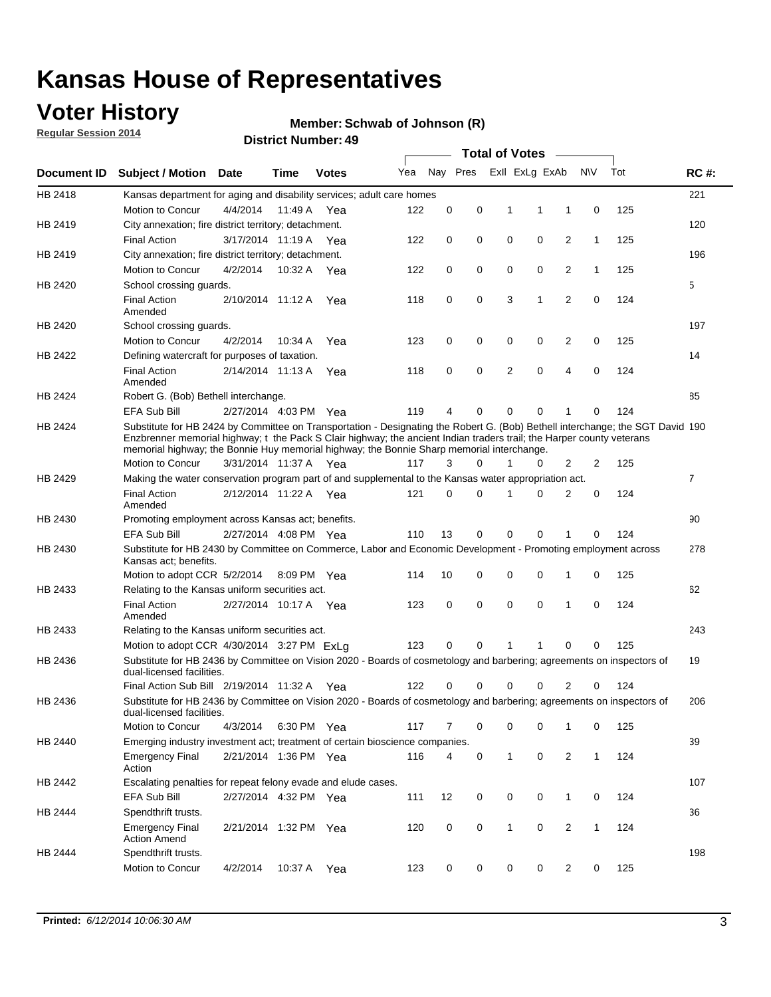## **Voter History**

**Regular Session 2014**

#### **Member: Schwab of Johnson (R)**

|             |                                                                                                                                                                                                                                                                                                                                                      |                       |             | <b>DISTRICT MAILINGL. 49</b> |     |          |          | <b>Total of Votes</b> |             |                |              |     |                |
|-------------|------------------------------------------------------------------------------------------------------------------------------------------------------------------------------------------------------------------------------------------------------------------------------------------------------------------------------------------------------|-----------------------|-------------|------------------------------|-----|----------|----------|-----------------------|-------------|----------------|--------------|-----|----------------|
| Document ID | <b>Subject / Motion</b>                                                                                                                                                                                                                                                                                                                              | Date                  | Time        | <b>Votes</b>                 | Yea |          | Nay Pres | Exll ExLg ExAb        |             |                | N\V          | Tot | <b>RC#:</b>    |
| HB 2418     | Kansas department for aging and disability services; adult care homes                                                                                                                                                                                                                                                                                |                       |             |                              |     |          |          |                       |             |                |              |     | 221            |
|             | <b>Motion to Concur</b>                                                                                                                                                                                                                                                                                                                              | 4/4/2014              | 11:49 A     | Yea                          | 122 | 0        | 0        | 1                     | 1           | 1              | 0            | 125 |                |
| HB 2419     | City annexation; fire district territory; detachment.                                                                                                                                                                                                                                                                                                |                       |             |                              |     |          |          |                       |             |                |              |     | 120            |
|             | <b>Final Action</b>                                                                                                                                                                                                                                                                                                                                  | 3/17/2014 11:19 A     |             | Yea                          | 122 | 0        | 0        | 0                     | 0           | $\overline{2}$ | $\mathbf{1}$ | 125 |                |
| HB 2419     | City annexation; fire district territory; detachment.                                                                                                                                                                                                                                                                                                |                       |             |                              |     |          |          |                       |             |                |              |     | 196            |
|             | Motion to Concur                                                                                                                                                                                                                                                                                                                                     | 4/2/2014              | 10:32 A     | Yea                          | 122 | 0        | 0        | 0                     | 0           | $\overline{2}$ | $\mathbf{1}$ | 125 |                |
| HB 2420     | School crossing quards.                                                                                                                                                                                                                                                                                                                              |                       |             |                              |     |          |          |                       |             |                |              |     | 5              |
|             | <b>Final Action</b><br>Amended                                                                                                                                                                                                                                                                                                                       | 2/10/2014 11:12 A     |             | Yea                          | 118 | 0        | 0        | 3                     | 1           | $\overline{2}$ | 0            | 124 |                |
| HB 2420     | School crossing guards.                                                                                                                                                                                                                                                                                                                              |                       |             |                              |     |          |          |                       |             |                |              |     | 197            |
|             | Motion to Concur                                                                                                                                                                                                                                                                                                                                     | 4/2/2014              | 10:34 A     | Yea                          | 123 | 0        | 0        | 0                     | 0           | 2              | 0            | 125 |                |
| HB 2422     | Defining watercraft for purposes of taxation.                                                                                                                                                                                                                                                                                                        |                       |             |                              |     |          |          |                       |             |                |              |     | 14             |
|             | <b>Final Action</b><br>Amended                                                                                                                                                                                                                                                                                                                       | 2/14/2014 11:13 A     |             | Yea                          | 118 | 0        | 0        | 2                     | $\mathbf 0$ | $\overline{4}$ | 0            | 124 |                |
| HB 2424     | Robert G. (Bob) Bethell interchange.                                                                                                                                                                                                                                                                                                                 |                       |             |                              |     |          |          |                       |             |                |              |     | 85             |
|             | <b>EFA Sub Bill</b>                                                                                                                                                                                                                                                                                                                                  | 2/27/2014 4:03 PM Yea |             |                              | 119 | 4        | 0        | $\Omega$              | 0           | 1              | 0            | 124 |                |
| HB 2424     | Substitute for HB 2424 by Committee on Transportation - Designating the Robert G. (Bob) Bethell interchange; the SGT David 190<br>Enzbrenner memorial highway; t the Pack S Clair highway; the ancient Indian traders trail; the Harper county veterans<br>memorial highway; the Bonnie Huy memorial highway; the Bonnie Sharp memorial interchange. |                       |             |                              |     |          |          |                       |             |                |              |     |                |
|             | Motion to Concur                                                                                                                                                                                                                                                                                                                                     | 3/31/2014 11:37 A Yea |             |                              | 117 | 3        | $\Omega$ | 1                     | 0           | $\overline{2}$ | 2            | 125 |                |
| HB 2429     | Making the water conservation program part of and supplemental to the Kansas water appropriation act.                                                                                                                                                                                                                                                |                       |             |                              |     |          |          |                       |             |                |              |     | $\overline{7}$ |
|             | <b>Final Action</b><br>Amended                                                                                                                                                                                                                                                                                                                       | 2/12/2014 11:22 A Yea |             |                              | 121 | $\Omega$ | $\Omega$ | 1                     | 0           | $\overline{2}$ | $\mathbf 0$  | 124 |                |
| HB 2430     | Promoting employment across Kansas act; benefits.                                                                                                                                                                                                                                                                                                    |                       |             |                              |     |          |          |                       |             |                |              |     | 90             |
|             | <b>EFA Sub Bill</b>                                                                                                                                                                                                                                                                                                                                  | 2/27/2014 4:08 PM Yea |             |                              | 110 | 13       | 0        | $\mathbf 0$           | 0           |                | 0            | 124 |                |
| HB 2430     | Substitute for HB 2430 by Committee on Commerce, Labor and Economic Development - Promoting employment across<br>Kansas act; benefits.                                                                                                                                                                                                               |                       |             |                              |     |          |          |                       |             |                |              |     | 278            |
|             | Motion to adopt CCR 5/2/2014                                                                                                                                                                                                                                                                                                                         |                       | 8:09 PM Yea |                              | 114 | 10       | 0        | 0                     | 0           | 1              | 0            | 125 |                |
| HB 2433     | Relating to the Kansas uniform securities act.                                                                                                                                                                                                                                                                                                       |                       |             |                              |     |          |          |                       |             |                |              |     | 62             |
|             | <b>Final Action</b><br>Amended                                                                                                                                                                                                                                                                                                                       | 2/27/2014 10:17 A Yea |             |                              | 123 | 0        | 0        | 0                     | $\mathbf 0$ | 1              | 0            | 124 |                |
| HB 2433     | Relating to the Kansas uniform securities act.                                                                                                                                                                                                                                                                                                       |                       |             |                              |     |          |          |                       |             |                |              |     | 243            |
|             | Motion to adopt CCR 4/30/2014 3:27 PM ExLa                                                                                                                                                                                                                                                                                                           |                       |             |                              | 123 | 0        | $\Omega$ | 1                     | 1           | $\Omega$       | 0            | 125 |                |
| HB 2436     | Substitute for HB 2436 by Committee on Vision 2020 - Boards of cosmetology and barbering; agreements on inspectors of<br>dual-licensed facilities.                                                                                                                                                                                                   |                       |             |                              |     |          |          |                       |             |                |              |     | 19             |
|             | Final Action Sub Bill 2/19/2014 11:32 A                                                                                                                                                                                                                                                                                                              |                       |             | Yea                          | 122 | ი        | 0        | O                     | 0           | 2              | 0            | 124 |                |
| HB 2436     | Substitute for HB 2436 by Committee on Vision 2020 - Boards of cosmetology and barbering; agreements on inspectors of<br>dual-licensed facilities.                                                                                                                                                                                                   |                       |             |                              |     |          |          |                       |             |                |              |     | 206            |
|             | Motion to Concur                                                                                                                                                                                                                                                                                                                                     | 4/3/2014              | 6:30 PM Yea |                              | 117 | 7        | 0        | 0                     | 0           | 1              | 0            | 125 |                |
| HB 2440     | Emerging industry investment act; treatment of certain bioscience companies.                                                                                                                                                                                                                                                                         |                       |             |                              |     |          |          |                       |             |                |              |     | 39             |
|             | <b>Emergency Final</b><br>Action                                                                                                                                                                                                                                                                                                                     | 2/21/2014 1:36 PM Yea |             |                              | 116 | 4        | 0        | $\mathbf{1}$          | 0           | 2              | $\mathbf{1}$ | 124 |                |
| HB 2442     | Escalating penalties for repeat felony evade and elude cases.                                                                                                                                                                                                                                                                                        |                       |             |                              |     |          |          |                       |             |                |              |     | 107            |
|             | EFA Sub Bill                                                                                                                                                                                                                                                                                                                                         | 2/27/2014 4:32 PM Yea |             |                              | 111 | 12       | 0        | 0                     | 0           | $\mathbf{1}$   | 0            | 124 |                |
| HB 2444     | Spendthrift trusts.                                                                                                                                                                                                                                                                                                                                  |                       |             |                              |     |          |          |                       |             |                |              |     | 36             |
|             | <b>Emergency Final</b><br><b>Action Amend</b>                                                                                                                                                                                                                                                                                                        | 2/21/2014 1:32 PM Yea |             |                              | 120 | 0        | 0        | $\mathbf{1}$          | 0           | $\overline{2}$ | $\mathbf{1}$ | 124 |                |
| HB 2444     | Spendthrift trusts.                                                                                                                                                                                                                                                                                                                                  |                       |             |                              |     |          |          |                       |             |                |              |     | 198            |
|             | Motion to Concur                                                                                                                                                                                                                                                                                                                                     | 4/2/2014              | 10:37 A     | Yea                          | 123 | 0        | 0        | 0                     | 0           | $\overline{2}$ | 0            | 125 |                |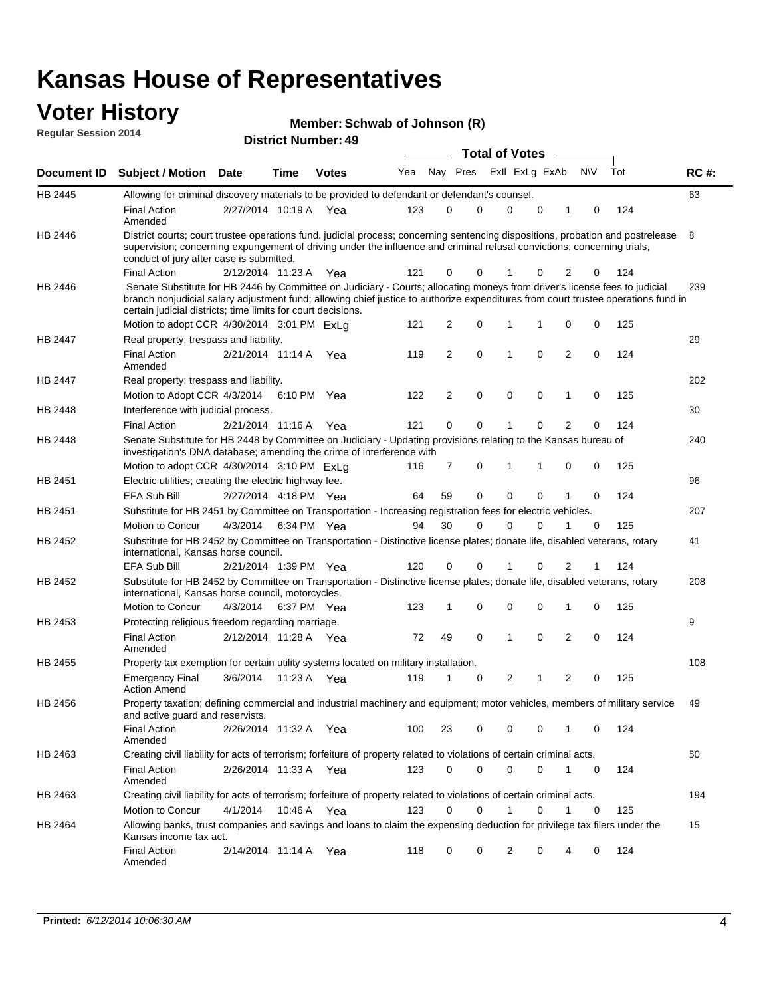#### **Voter History Regular Session 2014**

|  |  | Member: Schwab of Johnson (R) |  |
|--|--|-------------------------------|--|
|--|--|-------------------------------|--|

|                    |                                                                                                                                                                                                                                                                                                                                 |                       |             |              |     |                |             | <b>Total of Votes</b> |                |             |                |           |   |     |             |
|--------------------|---------------------------------------------------------------------------------------------------------------------------------------------------------------------------------------------------------------------------------------------------------------------------------------------------------------------------------|-----------------------|-------------|--------------|-----|----------------|-------------|-----------------------|----------------|-------------|----------------|-----------|---|-----|-------------|
| <b>Document ID</b> | <b>Subject / Motion</b>                                                                                                                                                                                                                                                                                                         | <b>Date</b>           | Time        | <b>Votes</b> | Yea | Nay Pres       |             |                       | Exll ExLg ExAb |             |                | <b>NV</b> |   | Tot | <b>RC#:</b> |
| HB 2445            | Allowing for criminal discovery materials to be provided to defendant or defendant's counsel.                                                                                                                                                                                                                                   |                       |             |              |     |                |             |                       |                |             |                |           |   |     | 63          |
|                    | <b>Final Action</b><br>Amended                                                                                                                                                                                                                                                                                                  | 2/27/2014 10:19 A     |             | Yea          | 123 | 0              | $\mathbf 0$ |                       | $\Omega$       | $\mathbf 0$ | 1              | 0         |   | 124 |             |
| HB 2446            | District courts; court trustee operations fund. judicial process; concerning sentencing dispositions, probation and postrelease<br>supervision; concerning expungement of driving under the influence and criminal refusal convictions; concerning trials,<br>conduct of jury after case is submitted.                          |                       |             |              |     |                |             |                       |                |             |                |           |   |     | 8           |
|                    | <b>Final Action</b>                                                                                                                                                                                                                                                                                                             | 2/12/2014 11:23 A     |             | Yea          | 121 | 0              |             | $\mathbf 0$           |                | 0           | $\overline{2}$ |           | 0 | 124 |             |
| <b>HB 2446</b>     | Senate Substitute for HB 2446 by Committee on Judiciary - Courts; allocating moneys from driver's license fees to judicial<br>branch nonjudicial salary adjustment fund; allowing chief justice to authorize expenditures from court trustee operations fund in<br>certain judicial districts; time limits for court decisions. |                       |             |              |     |                |             |                       |                |             |                |           |   |     | 239         |
|                    | Motion to adopt CCR 4/30/2014 3:01 PM ExLq                                                                                                                                                                                                                                                                                      |                       |             |              | 121 | 2              |             | 0                     | 1              | 1           | 0              |           | 0 | 125 |             |
| <b>HB 2447</b>     | Real property; trespass and liability.                                                                                                                                                                                                                                                                                          |                       |             |              |     |                |             |                       |                |             |                |           |   |     | 29          |
|                    | <b>Final Action</b><br>Amended                                                                                                                                                                                                                                                                                                  | 2/21/2014 11:14 A     |             | Yea          | 119 | 2              |             | 0                     | 1              | 0           | 2              |           | 0 | 124 |             |
| HB 2447            | Real property; trespass and liability.                                                                                                                                                                                                                                                                                          |                       |             |              |     |                |             |                       |                |             |                |           |   |     | 202         |
|                    | Motion to Adopt CCR 4/3/2014 6:10 PM Yea                                                                                                                                                                                                                                                                                        |                       |             |              | 122 | $\overline{2}$ |             | 0                     | $\mathbf 0$    | $\mathbf 0$ | 1              |           | 0 | 125 |             |
| HB 2448            | Interference with judicial process.                                                                                                                                                                                                                                                                                             |                       |             |              |     |                |             |                       |                |             |                |           |   |     | 30          |
|                    | <b>Final Action</b>                                                                                                                                                                                                                                                                                                             | 2/21/2014 11:16 A     |             | Yea          | 121 | 0              |             | $\mathbf 0$           | 1              | 0           | $\overline{2}$ |           | 0 | 124 |             |
| HB 2448            | Senate Substitute for HB 2448 by Committee on Judiciary - Updating provisions relating to the Kansas bureau of<br>investigation's DNA database; amending the crime of interference with                                                                                                                                         |                       |             |              |     |                |             |                       |                |             |                |           |   |     | 240         |
|                    | Motion to adopt CCR 4/30/2014 3:10 PM ExLa                                                                                                                                                                                                                                                                                      |                       |             |              | 116 | 7              | 0           |                       | 1              | 1           | 0              |           | 0 | 125 |             |
| HB 2451            | Electric utilities; creating the electric highway fee.                                                                                                                                                                                                                                                                          |                       |             |              |     |                |             |                       |                |             |                |           |   |     | 96          |
|                    | <b>EFA Sub Bill</b>                                                                                                                                                                                                                                                                                                             | 2/27/2014 4:18 PM Yea |             |              | 64  | 59             | 0           |                       | $\Omega$       | 0           | 1              |           | 0 | 124 |             |
| HB 2451            | Substitute for HB 2451 by Committee on Transportation - Increasing registration fees for electric vehicles.                                                                                                                                                                                                                     |                       |             |              |     |                |             |                       |                |             |                |           |   |     | 207         |
|                    | Motion to Concur                                                                                                                                                                                                                                                                                                                | 4/3/2014              |             | 6:34 PM Yea  | 94  | 30             | $\mathbf 0$ |                       | $\Omega$       | 0           | 1              |           | 0 | 125 |             |
| HB 2452            | Substitute for HB 2452 by Committee on Transportation - Distinctive license plates; donate life, disabled veterans, rotary<br>international, Kansas horse council.                                                                                                                                                              |                       |             |              |     |                |             |                       |                |             |                |           |   |     | 41          |
|                    | <b>EFA Sub Bill</b>                                                                                                                                                                                                                                                                                                             | 2/21/2014 1:39 PM Yea |             |              | 120 | 0              | $\mathbf 0$ |                       |                | 0           | 2              | 1         |   | 124 |             |
| HB 2452            | Substitute for HB 2452 by Committee on Transportation - Distinctive license plates; donate life, disabled veterans, rotary<br>international, Kansas horse council, motorcycles.                                                                                                                                                 |                       |             |              |     |                |             |                       |                |             |                |           |   |     | 208         |
|                    | Motion to Concur                                                                                                                                                                                                                                                                                                                | 4/3/2014              | 6:37 PM Yea |              | 123 | 1              |             | 0                     | $\mathbf 0$    | 0           | 1              |           | 0 | 125 |             |
| HB 2453            | Protecting religious freedom regarding marriage.                                                                                                                                                                                                                                                                                |                       |             |              |     |                |             |                       |                |             |                |           |   |     | 9           |
|                    | <b>Final Action</b><br>Amended                                                                                                                                                                                                                                                                                                  | 2/12/2014 11:28 A Yea |             |              | 72  | 49             |             | $\mathbf 0$           | $\mathbf{1}$   | 0           | 2              |           | 0 | 124 |             |
| HB 2455            | Property tax exemption for certain utility systems located on military installation.                                                                                                                                                                                                                                            |                       |             |              |     |                |             |                       |                |             |                |           |   |     | 108         |
|                    | <b>Emergency Final</b><br><b>Action Amend</b>                                                                                                                                                                                                                                                                                   | 3/6/2014              | 11:23 A     | Yea          | 119 | 1              | $\mathbf 0$ |                       | 2              | 1           | 2              |           | 0 | 125 |             |
| HB 2456            | Property taxation; defining commercial and industrial machinery and equipment; motor vehicles, members of military service<br>and active guard and reservists.                                                                                                                                                                  |                       |             |              |     |                |             |                       |                |             |                |           |   |     | 49          |
|                    | <b>Final Action</b><br>Amended                                                                                                                                                                                                                                                                                                  | 2/26/2014 11:32 A Yea |             |              | 100 | 23             |             | 0                     | 0              | 0           | 1              |           | 0 | 124 |             |
| HB 2463            | Creating civil liability for acts of terrorism; forfeiture of property related to violations of certain criminal acts.                                                                                                                                                                                                          |                       |             |              |     |                |             |                       |                |             |                |           |   |     | 50          |
|                    | <b>Final Action</b><br>Amended                                                                                                                                                                                                                                                                                                  | 2/26/2014 11:33 A Yea |             |              | 123 | 0              |             | 0                     | $\mathbf 0$    | 0           | 1              |           | 0 | 124 |             |
| HB 2463            | Creating civil liability for acts of terrorism; forfeiture of property related to violations of certain criminal acts.                                                                                                                                                                                                          |                       |             |              |     |                |             |                       |                |             |                |           |   |     | 194         |
|                    | Motion to Concur                                                                                                                                                                                                                                                                                                                | 4/1/2014              |             | 10:46 A Yea  | 123 | 0              |             | 0                     | $\mathbf{1}$   | 0           | 1              |           | 0 | 125 |             |
| HB 2464            | Allowing banks, trust companies and savings and loans to claim the expensing deduction for privilege tax filers under the<br>Kansas income tax act.                                                                                                                                                                             |                       |             |              |     |                |             |                       |                |             |                |           |   |     | 15          |
|                    | <b>Final Action</b><br>Amended                                                                                                                                                                                                                                                                                                  | 2/14/2014 11:14 A Yea |             |              | 118 | 0              |             | 0                     | 2              | 0           | 4              |           | 0 | 124 |             |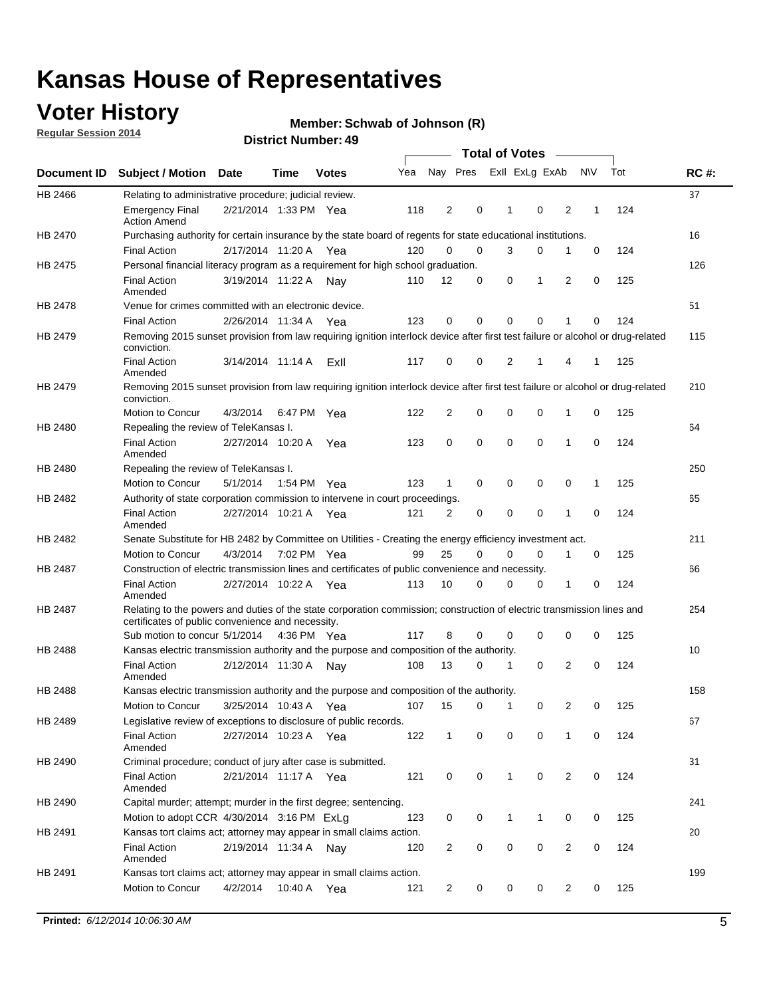## **Voter History**

**Regular Session 2014**

#### **Member: Schwab of Johnson (R)**

|                |                                                                                                                                                                             |                       |             |              |     |                |             | <b>Total of Votes</b> |                |                |             |     |             |
|----------------|-----------------------------------------------------------------------------------------------------------------------------------------------------------------------------|-----------------------|-------------|--------------|-----|----------------|-------------|-----------------------|----------------|----------------|-------------|-----|-------------|
|                | Document ID Subject / Motion Date                                                                                                                                           |                       | Time        | <b>Votes</b> | Yea | Nay Pres       |             |                       | Exll ExLg ExAb |                | <b>NV</b>   | Tot | <b>RC#:</b> |
| HB 2466        | Relating to administrative procedure; judicial review.                                                                                                                      |                       |             |              |     |                |             |                       |                |                |             |     | 37          |
|                | <b>Emergency Final</b><br><b>Action Amend</b>                                                                                                                               | 2/21/2014 1:33 PM Yea |             |              | 118 | 2              | 0           | 1                     | $\mathbf 0$    | $\overline{2}$ | 1           | 124 |             |
| HB 2470        | Purchasing authority for certain insurance by the state board of regents for state educational institutions.                                                                |                       |             |              |     |                |             |                       |                |                |             |     | 16          |
|                | <b>Final Action</b>                                                                                                                                                         | 2/17/2014 11:20 A Yea |             |              | 120 | $\Omega$       | $\mathbf 0$ | 3                     | 0              | 1              | 0           | 124 |             |
| HB 2475        | Personal financial literacy program as a requirement for high school graduation.                                                                                            |                       |             |              |     |                |             |                       |                |                |             |     | 126         |
|                | <b>Final Action</b><br>Amended                                                                                                                                              | 3/19/2014 11:22 A Nay |             |              | 110 | 12             | 0           | 0                     | 1              | 2              | 0           | 125 |             |
| HB 2478        | Venue for crimes committed with an electronic device.                                                                                                                       |                       |             |              |     |                |             |                       |                |                |             |     | 51          |
|                | <b>Final Action</b>                                                                                                                                                         | 2/26/2014 11:34 A     |             | Yea          | 123 | $\mathbf 0$    | 0           | $\Omega$              | $\mathbf 0$    | 1              | 0           | 124 |             |
| HB 2479        | Removing 2015 sunset provision from law requiring ignition interlock device after first test failure or alcohol or drug-related<br>conviction.                              |                       |             |              |     |                |             |                       |                |                |             |     | 115         |
|                | <b>Final Action</b><br>Amended                                                                                                                                              | 3/14/2014 11:14 A     |             | Exll         | 117 | 0              | 0           | 2                     | 1              | 4              | 1           | 125 |             |
| HB 2479        | Removing 2015 sunset provision from law requiring ignition interlock device after first test failure or alcohol or drug-related<br>conviction.                              |                       |             |              |     |                |             |                       |                |                |             |     | 210         |
|                | Motion to Concur                                                                                                                                                            | 4/3/2014              | 6:47 PM Yea |              | 122 | $\overline{2}$ | 0           | $\mathbf 0$           | $\mathbf 0$    | 1              | 0           | 125 |             |
| HB 2480        | Repealing the review of TeleKansas I.                                                                                                                                       |                       |             |              |     |                |             |                       |                |                |             |     | 64          |
|                | <b>Final Action</b><br>Amended                                                                                                                                              | 2/27/2014 10:20 A     |             | Yea          | 123 | 0              | 0           | 0                     | $\mathbf 0$    | 1              | 0           | 124 |             |
| HB 2480        | Repealing the review of TeleKansas I.                                                                                                                                       |                       |             |              |     |                |             |                       |                |                |             |     | 250         |
|                | Motion to Concur                                                                                                                                                            | 5/1/2014              | 1:54 PM Yea |              | 123 | $\mathbf{1}$   | $\mathbf 0$ | $\mathbf 0$           | $\mathbf 0$    | 0              | 1           | 125 |             |
| HB 2482        | Authority of state corporation commission to intervene in court proceedings.                                                                                                |                       |             |              |     |                |             |                       |                |                |             |     | 65          |
|                | <b>Final Action</b><br>Amended                                                                                                                                              | 2/27/2014 10:21 A     |             | Yea          | 121 | 2              | 0           | $\mathbf 0$           | $\mathbf 0$    | 1              | $\mathbf 0$ | 124 |             |
| HB 2482        | Senate Substitute for HB 2482 by Committee on Utilities - Creating the energy efficiency investment act.                                                                    |                       |             |              |     |                |             |                       |                |                |             |     | 211         |
|                | Motion to Concur                                                                                                                                                            | 4/3/2014 7:02 PM Yea  |             |              | 99  | 25             | $\Omega$    | 0                     | 0              | 1              | 0           | 125 |             |
| HB 2487        | Construction of electric transmission lines and certificates of public convenience and necessity.                                                                           |                       |             |              |     |                |             |                       |                |                |             |     | 66          |
|                | <b>Final Action</b><br>Amended                                                                                                                                              | 2/27/2014 10:22 A Yea |             |              | 113 | 10             | 0           | $\mathbf 0$           | 0              | 1              | 0           | 124 |             |
| HB 2487        | Relating to the powers and duties of the state corporation commission; construction of electric transmission lines and<br>certificates of public convenience and necessity. |                       |             |              |     |                |             |                       |                |                |             |     | 254         |
|                | Sub motion to concur 5/1/2014 4:36 PM Yea                                                                                                                                   |                       |             |              | 117 | 8              | 0           | $\Omega$              | $\mathbf 0$    | 0              | 0           | 125 |             |
| <b>HB 2488</b> | Kansas electric transmission authority and the purpose and composition of the authority.                                                                                    |                       |             |              |     |                |             |                       |                |                |             |     | 10          |
|                | <b>Final Action</b><br>Amended                                                                                                                                              | 2/12/2014 11:30 A Nay |             |              | 108 | 13             | 0           | 1                     | 0              | $\overline{2}$ | 0           | 124 |             |
| <b>HB 2488</b> | Kansas electric transmission authority and the purpose and composition of the authority.                                                                                    |                       |             |              |     |                |             |                       |                |                |             |     | 158         |
|                | <b>Motion to Concur</b>                                                                                                                                                     | 3/25/2014 10:43 A     |             | Yea          | 107 | 15             | 0           | 1                     | 0              | 2              | 0           | 125 |             |
| HB 2489        | Legislative review of exceptions to disclosure of public records.                                                                                                           |                       |             |              |     |                |             |                       |                |                |             |     | 67          |
|                | <b>Final Action</b><br>Amended                                                                                                                                              | 2/27/2014 10:23 A Yea |             |              | 122 | $\mathbf{1}$   | 0           | 0                     | $\mathbf 0$    | $\mathbf{1}$   | 0           | 124 |             |
| HB 2490        | Criminal procedure; conduct of jury after case is submitted.                                                                                                                |                       |             |              |     |                |             |                       |                |                |             |     | 31          |
|                | <b>Final Action</b><br>Amended                                                                                                                                              | 2/21/2014 11:17 A Yea |             |              | 121 | 0              | 0           | $\mathbf{1}$          | $\mathbf 0$    | 2              | $\mathbf 0$ | 124 |             |
| HB 2490        | Capital murder; attempt; murder in the first degree; sentencing.                                                                                                            |                       |             |              |     |                |             |                       |                |                |             |     | 241         |
|                | Motion to adopt CCR 4/30/2014 3:16 PM ExLq                                                                                                                                  |                       |             |              | 123 | 0              | 0           | 1                     | 1              | 0              | 0           | 125 |             |
| HB 2491        | Kansas tort claims act; attorney may appear in small claims action.                                                                                                         |                       |             |              |     |                |             |                       |                |                |             |     | 20          |
|                | <b>Final Action</b><br>Amended                                                                                                                                              | 2/19/2014 11:34 A Nay |             |              | 120 | $\overline{c}$ | 0           | 0                     | $\pmb{0}$      | 2              | 0           | 124 |             |
| HB 2491        | Kansas tort claims act; attorney may appear in small claims action.                                                                                                         |                       |             |              |     |                |             |                       |                |                |             |     | 199         |
|                | Motion to Concur                                                                                                                                                            | 4/2/2014              |             | 10:40 A Yea  | 121 | 2              | 0           | 0                     | 0              | 2              | 0           | 125 |             |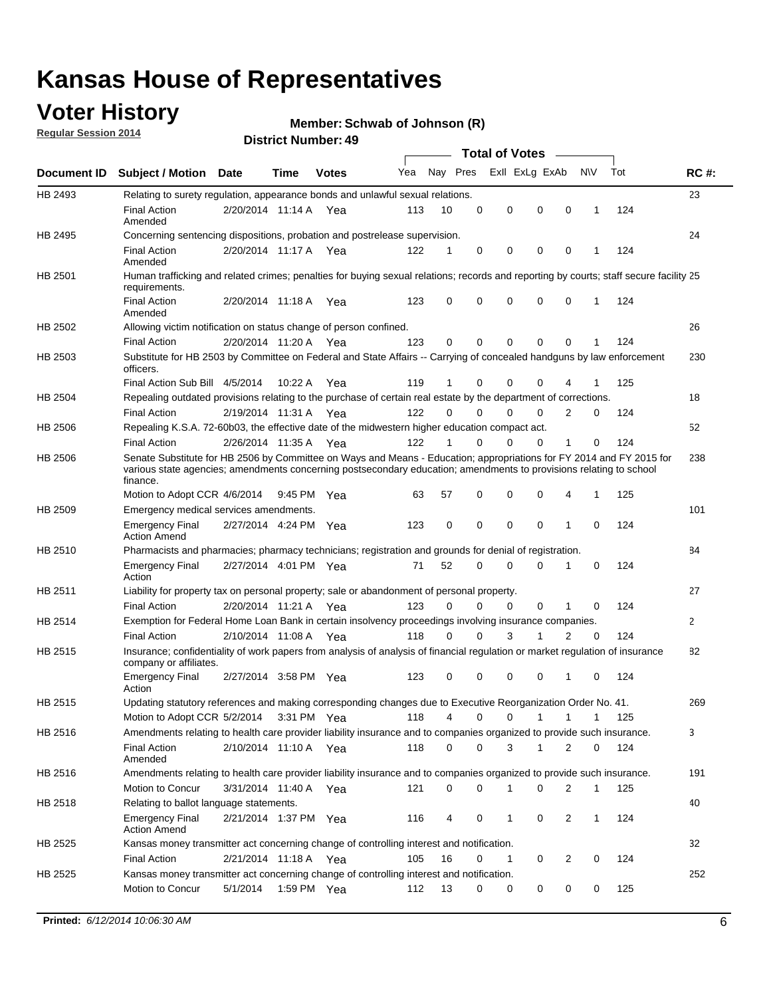## **Voter History**

**Regular Session 2014**

#### **Member: Schwab of Johnson (R)**

|                    |                                                                                                                                                                                                                                                        |                       |             | <b>DISTICL MUILIDEL, 49</b> |     |          |          | Total of Votes – |                |             |     |              |
|--------------------|--------------------------------------------------------------------------------------------------------------------------------------------------------------------------------------------------------------------------------------------------------|-----------------------|-------------|-----------------------------|-----|----------|----------|------------------|----------------|-------------|-----|--------------|
| <b>Document ID</b> | <b>Subject / Motion Date</b>                                                                                                                                                                                                                           |                       | <b>Time</b> | <b>Votes</b>                | Yea | Nay Pres |          | Exll ExLg ExAb   |                | <b>NV</b>   | Tot | <b>RC#:</b>  |
| HB 2493            | Relating to surety regulation, appearance bonds and unlawful sexual relations.                                                                                                                                                                         |                       |             |                             |     |          |          |                  |                |             |     | 23           |
|                    | <b>Final Action</b><br>Amended                                                                                                                                                                                                                         | 2/20/2014 11:14 A Yea |             |                             | 113 | 10       | 0        | 0<br>$\mathbf 0$ | 0              | 1           | 124 |              |
| HB 2495            | Concerning sentencing dispositions, probation and postrelease supervision.                                                                                                                                                                             |                       |             |                             |     |          |          |                  |                |             |     | 24           |
|                    | <b>Final Action</b><br>Amended                                                                                                                                                                                                                         | 2/20/2014 11:17 A     |             | Yea                         | 122 | 1        | 0        | 0<br>0           | 0              | 1           | 124 |              |
| HB 2501            | Human trafficking and related crimes; penalties for buying sexual relations; records and reporting by courts; staff secure facility 25<br>requirements.                                                                                                |                       |             |                             |     |          |          |                  |                |             |     |              |
|                    | <b>Final Action</b><br>Amended                                                                                                                                                                                                                         | 2/20/2014 11:18 A Yea |             |                             | 123 | 0        | 0        | 0<br>0           | $\mathbf 0$    | 1           | 124 |              |
| HB 2502            | Allowing victim notification on status change of person confined.                                                                                                                                                                                      |                       |             |                             |     |          |          |                  |                |             |     | 26           |
|                    | <b>Final Action</b>                                                                                                                                                                                                                                    | 2/20/2014 11:20 A Yea |             |                             | 123 | 0        | 0        | 0<br>0           | $\mathbf 0$    |             | 124 |              |
| HB 2503            | Substitute for HB 2503 by Committee on Federal and State Affairs -- Carrying of concealed handguns by law enforcement<br>officers.                                                                                                                     |                       |             |                             |     |          |          |                  |                |             |     | 230          |
|                    | Final Action Sub Bill 4/5/2014                                                                                                                                                                                                                         |                       | 10:22A      | Yea                         | 119 | 1        | 0        | 0<br>0           |                |             | 125 |              |
| HB 2504            | Repealing outdated provisions relating to the purchase of certain real estate by the department of corrections.                                                                                                                                        |                       |             |                             |     |          |          |                  |                |             |     | 18           |
|                    | <b>Final Action</b>                                                                                                                                                                                                                                    | 2/19/2014 11:31 A     |             | Yea                         | 122 | $\Omega$ | 0        | 0<br>0           | 2              | 0           | 124 |              |
| <b>HB 2506</b>     | Repealing K.S.A. 72-60b03, the effective date of the midwestern higher education compact act.                                                                                                                                                          |                       |             |                             |     |          |          |                  |                |             |     | 52           |
|                    | <b>Final Action</b>                                                                                                                                                                                                                                    | 2/26/2014 11:35 A Yea |             |                             | 122 | 1        | 0        | 0<br>0           | 1              | 0           | 124 |              |
| HB 2506            | Senate Substitute for HB 2506 by Committee on Ways and Means - Education; appropriations for FY 2014 and FY 2015 for<br>various state agencies; amendments concerning postsecondary education; amendments to provisions relating to school<br>finance. |                       |             |                             |     |          |          |                  |                |             |     | 238          |
|                    | Motion to Adopt CCR 4/6/2014                                                                                                                                                                                                                           |                       | 9:45 PM Yea |                             | 63  | 57       | 0        | 0<br>0           | 4              | 1           | 125 |              |
| HB 2509            | Emergency medical services amendments.                                                                                                                                                                                                                 |                       |             |                             |     |          |          |                  |                |             |     | 101          |
|                    | <b>Emergency Final</b><br><b>Action Amend</b>                                                                                                                                                                                                          | 2/27/2014 4:24 PM Yea |             |                             | 123 | 0        | $\Omega$ | $\mathbf 0$<br>0 | 1              | $\Omega$    | 124 |              |
| HB 2510            | Pharmacists and pharmacies; pharmacy technicians; registration and grounds for denial of registration.                                                                                                                                                 |                       |             |                             |     |          |          |                  |                |             |     | 84           |
|                    | <b>Emergency Final</b><br>Action                                                                                                                                                                                                                       | 2/27/2014 4:01 PM Yea |             |                             | 71  | 52       | 0        | 0<br>0           | 1              | $\mathbf 0$ | 124 |              |
| HB 2511            | Liability for property tax on personal property; sale or abandonment of personal property.                                                                                                                                                             |                       |             |                             |     |          |          |                  |                |             |     | 27           |
|                    | <b>Final Action</b>                                                                                                                                                                                                                                    | 2/20/2014 11:21 A Yea |             |                             | 123 | 0        | 0        | 0<br>0           | 1              | 0           | 124 |              |
| HB 2514            | Exemption for Federal Home Loan Bank in certain insolvency proceedings involving insurance companies.                                                                                                                                                  |                       |             |                             |     |          |          |                  |                |             |     | $\mathbf{2}$ |
|                    | <b>Final Action</b>                                                                                                                                                                                                                                    | 2/10/2014 11:08 A     |             | Yea                         | 118 | 0        | $\Omega$ | 3<br>1           | $\overline{2}$ | $\mathbf 0$ | 124 |              |
| <b>HB 2515</b>     | Insurance; confidentiality of work papers from analysis of analysis of financial regulation or market regulation of insurance<br>company or affiliates.                                                                                                |                       |             |                             |     |          |          |                  |                |             |     | 82           |
|                    | <b>Emergency Final</b><br>Action                                                                                                                                                                                                                       | 2/27/2014 3:58 PM Yea |             |                             | 123 | 0        | 0        | 0<br>0           | -1             | 0           | 124 |              |
| HB 2515            | Updating statutory references and making corresponding changes due to Executive Reorganization Order No. 41.                                                                                                                                           |                       |             |                             |     |          |          |                  |                |             |     | 269          |
|                    | Motion to Adopt CCR 5/2/2014 3:31 PM Yea                                                                                                                                                                                                               |                       |             |                             | 118 | 4        | 0        | 0<br>1           | 1              | 1           | 125 |              |
| HB 2516            | Amendments relating to health care provider liability insurance and to companies organized to provide such insurance.                                                                                                                                  |                       |             |                             |     |          |          |                  |                |             |     | 3            |
|                    | <b>Final Action</b><br>Amended                                                                                                                                                                                                                         | 2/10/2014 11:10 A Yea |             |                             | 118 | 0        | 0        | 3<br>1           | 2              | 0           | 124 |              |
| HB 2516            | Amendments relating to health care provider liability insurance and to companies organized to provide such insurance.                                                                                                                                  |                       |             |                             |     |          |          |                  |                |             |     | 191          |
|                    | Motion to Concur                                                                                                                                                                                                                                       | 3/31/2014 11:40 A Yea |             |                             | 121 | 0        | 0        | 1<br>0           | 2              | 1           | 125 |              |
| HB 2518            | Relating to ballot language statements.                                                                                                                                                                                                                |                       |             |                             |     |          |          |                  |                |             |     | 40           |
|                    | <b>Emergency Final</b><br><b>Action Amend</b>                                                                                                                                                                                                          | 2/21/2014 1:37 PM Yea |             |                             | 116 | 4        | 0        | 0<br>1           | 2              | 1           | 124 |              |
| HB 2525            | Kansas money transmitter act concerning change of controlling interest and notification.                                                                                                                                                               |                       |             |                             |     |          |          |                  |                |             |     | 32           |
|                    | <b>Final Action</b>                                                                                                                                                                                                                                    | 2/21/2014 11:18 A Yea |             |                             | 105 | 16       | 0        | 0<br>1           | 2              | 0           | 124 |              |
| HB 2525            | Kansas money transmitter act concerning change of controlling interest and notification.                                                                                                                                                               |                       |             |                             |     |          |          |                  |                |             |     | 252          |
|                    | Motion to Concur                                                                                                                                                                                                                                       | 5/1/2014              | 1:59 PM Yea |                             | 112 | 13       | 0        | 0<br>0           | 0              | 0           | 125 |              |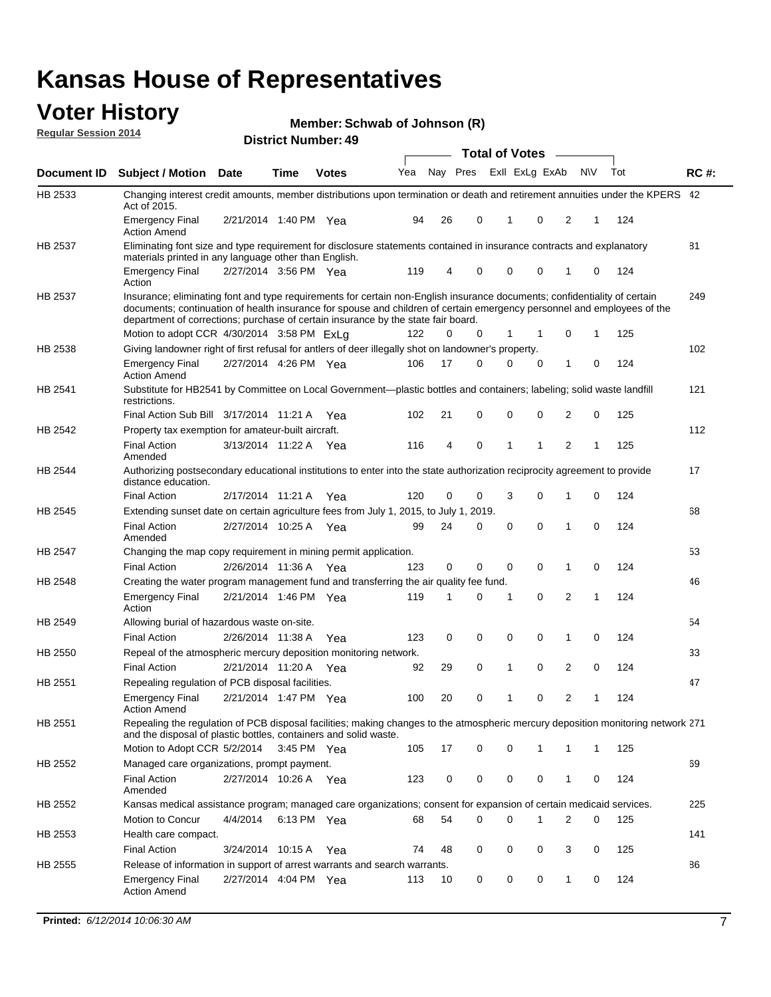#### **Voter History Regular Session 2014**

|  | Member: Schwab of Johnson (R) |  |  |
|--|-------------------------------|--|--|
|--|-------------------------------|--|--|

|             |                                                                                                                                                                                                                                                                                                                                                                                         |                       | u. numbu.   |              |     |    |                         | <b>Total of Votes</b> |          |              |              |     |             |
|-------------|-----------------------------------------------------------------------------------------------------------------------------------------------------------------------------------------------------------------------------------------------------------------------------------------------------------------------------------------------------------------------------------------|-----------------------|-------------|--------------|-----|----|-------------------------|-----------------------|----------|--------------|--------------|-----|-------------|
| Document ID | <b>Subject / Motion Date</b>                                                                                                                                                                                                                                                                                                                                                            |                       | <b>Time</b> | <b>Votes</b> | Yea |    | Nay Pres Exll ExLg ExAb |                       |          | <b>NV</b>    |              | Tot | <b>RC#:</b> |
| HB 2533     | Changing interest credit amounts, member distributions upon termination or death and retirement annuities under the KPERS 42<br>Act of 2015.                                                                                                                                                                                                                                            |                       |             |              |     |    |                         |                       |          |              |              |     |             |
|             | <b>Emergency Final</b><br><b>Action Amend</b>                                                                                                                                                                                                                                                                                                                                           | 2/21/2014 1:40 PM Yea |             |              | 94  | 26 | 0                       | 1                     | 0        | 2            | 1            | 124 |             |
| HB 2537     | Eliminating font size and type requirement for disclosure statements contained in insurance contracts and explanatory<br>materials printed in any language other than English.                                                                                                                                                                                                          |                       |             |              |     |    |                         |                       |          |              |              |     | 81          |
|             | <b>Emergency Final</b><br>Action                                                                                                                                                                                                                                                                                                                                                        | 2/27/2014 3:56 PM Yea |             |              | 119 | 4  | 0                       | 0                     | 0        | 1            | 0            | 124 |             |
| HB 2537     | Insurance; eliminating font and type requirements for certain non-English insurance documents; confidentiality of certain<br>documents; continuation of health insurance for spouse and children of certain emergency personnel and employees of the<br>department of corrections; purchase of certain insurance by the state fair board.<br>Motion to adopt CCR 4/30/2014 3:58 PM ExLg |                       |             |              | 122 | 0  | 0                       | 1                     |          | 0            | 1            | 125 | 249         |
| HB 2538     | Giving landowner right of first refusal for antlers of deer illegally shot on landowner's property.                                                                                                                                                                                                                                                                                     |                       |             |              |     |    |                         |                       |          |              |              |     | 102         |
|             | <b>Emergency Final</b><br><b>Action Amend</b>                                                                                                                                                                                                                                                                                                                                           | 2/27/2014 4:26 PM Yea |             |              | 106 | 17 | 0                       | 0                     | 0        | 1            | 0            | 124 |             |
| HB 2541     | Substitute for HB2541 by Committee on Local Government—plastic bottles and containers; labeling; solid waste landfill<br>restrictions.                                                                                                                                                                                                                                                  |                       |             |              |     |    |                         |                       |          |              |              |     | 121         |
|             | Final Action Sub Bill 3/17/2014 11:21 A Yea                                                                                                                                                                                                                                                                                                                                             |                       |             |              | 102 | 21 | 0                       | $\mathbf 0$           | 0        | 2            | 0            | 125 |             |
| HB 2542     | Property tax exemption for amateur-built aircraft.                                                                                                                                                                                                                                                                                                                                      |                       |             |              |     |    |                         |                       |          |              |              |     | 112         |
|             | <b>Final Action</b><br>Amended                                                                                                                                                                                                                                                                                                                                                          | 3/13/2014 11:22 A Yea |             |              | 116 | 4  | 0                       | 1                     | 1        | 2            | 1            | 125 |             |
| HB 2544     | Authorizing postsecondary educational institutions to enter into the state authorization reciprocity agreement to provide<br>distance education.                                                                                                                                                                                                                                        |                       |             |              |     |    |                         |                       |          |              |              |     | 17          |
|             | <b>Final Action</b>                                                                                                                                                                                                                                                                                                                                                                     | 2/17/2014 11:21 A Yea |             |              | 120 | 0  | 0                       | 3                     | 0        | 1            | 0            | 124 |             |
| HB 2545     | Extending sunset date on certain agriculture fees from July 1, 2015, to July 1, 2019.                                                                                                                                                                                                                                                                                                   |                       |             |              |     |    |                         |                       |          |              |              |     | 68          |
|             | <b>Final Action</b><br>Amended                                                                                                                                                                                                                                                                                                                                                          | 2/27/2014 10:25 A Yea |             |              | 99  | 24 | 0                       | $\mathbf 0$           | $\Omega$ | 1            | $\Omega$     | 124 |             |
| HB 2547     | Changing the map copy requirement in mining permit application.                                                                                                                                                                                                                                                                                                                         |                       |             |              |     |    |                         |                       |          |              |              |     | 53          |
|             | <b>Final Action</b>                                                                                                                                                                                                                                                                                                                                                                     | 2/26/2014 11:36 A     |             | Yea          | 123 | 0  | 0                       | 0                     | 0        | 1            | 0            | 124 |             |
| HB 2548     | Creating the water program management fund and transferring the air quality fee fund.                                                                                                                                                                                                                                                                                                   |                       |             |              |     |    |                         |                       |          |              |              |     | 46          |
|             | <b>Emergency Final</b><br>Action                                                                                                                                                                                                                                                                                                                                                        | 2/21/2014 1:46 PM Yea |             |              | 119 | 1  | 0                       | 1                     | 0        | 2            | 1            | 124 |             |
| HB 2549     | Allowing burial of hazardous waste on-site.                                                                                                                                                                                                                                                                                                                                             |                       |             |              |     |    |                         |                       |          |              |              |     | 54          |
|             | <b>Final Action</b>                                                                                                                                                                                                                                                                                                                                                                     | 2/26/2014 11:38 A     |             | Yea          | 123 | 0  | 0                       | 0                     | 0        | 1            | 0            | 124 |             |
| HB 2550     | Repeal of the atmospheric mercury deposition monitoring network.                                                                                                                                                                                                                                                                                                                        |                       |             |              |     |    |                         |                       |          |              |              |     | 33          |
|             | <b>Final Action</b>                                                                                                                                                                                                                                                                                                                                                                     | 2/21/2014 11:20 A     |             | Yea          | 92  | 29 | 0                       | 1                     | 0        | 2            | 0            | 124 |             |
| HB 2551     | Repealing regulation of PCB disposal facilities.                                                                                                                                                                                                                                                                                                                                        |                       |             |              |     |    |                         |                       |          |              |              |     | 47          |
|             | <b>Emergency Final</b><br>Action Amend                                                                                                                                                                                                                                                                                                                                                  | 2/21/2014 1:47 PM Yea |             |              | 100 | 20 | 0                       | 1                     | 0        | 2            | 1            | 124 |             |
| HB 2551     | Repealing the regulation of PCB disposal facilities; making changes to the atmospheric mercury deposition monitoring network 271<br>and the disposal of plastic bottles, containers and solid waste.                                                                                                                                                                                    |                       |             |              |     |    |                         |                       |          |              |              |     |             |
|             | Motion to Adopt CCR 5/2/2014                                                                                                                                                                                                                                                                                                                                                            |                       | 3:45 PM Yea |              | 105 | 17 | 0                       | 0                     | 1        | 1            | $\mathbf{1}$ | 125 |             |
| HB 2552     | Managed care organizations, prompt payment.                                                                                                                                                                                                                                                                                                                                             |                       |             |              |     |    |                         |                       |          |              |              |     | 69          |
|             | <b>Final Action</b><br>Amended                                                                                                                                                                                                                                                                                                                                                          | 2/27/2014 10:26 A Yea |             |              | 123 | 0  | 0                       | 0                     | 0        | 1            | 0            | 124 |             |
| HB 2552     | Kansas medical assistance program; managed care organizations; consent for expansion of certain medicaid services.                                                                                                                                                                                                                                                                      |                       |             |              |     |    |                         |                       |          |              |              |     | 225         |
|             | Motion to Concur                                                                                                                                                                                                                                                                                                                                                                        | 4/4/2014              | 6:13 PM Yea |              | 68  | 54 | 0                       | $\mathbf 0$           | 1        | 2            | 0            | 125 |             |
| HB 2553     | Health care compact.                                                                                                                                                                                                                                                                                                                                                                    |                       |             |              |     |    |                         |                       |          |              |              |     | 141         |
|             | <b>Final Action</b>                                                                                                                                                                                                                                                                                                                                                                     | 3/24/2014 10:15 A     |             | Yea          | 74  | 48 | 0                       | 0                     | 0        | 3            | 0            | 125 |             |
| HB 2555     | Release of information in support of arrest warrants and search warrants.                                                                                                                                                                                                                                                                                                               |                       |             |              |     |    |                         |                       |          |              |              |     | 86          |
|             | <b>Emergency Final</b><br><b>Action Amend</b>                                                                                                                                                                                                                                                                                                                                           | 2/27/2014 4:04 PM Yea |             |              | 113 | 10 | 0                       | 0                     | 0        | $\mathbf{1}$ | 0            | 124 |             |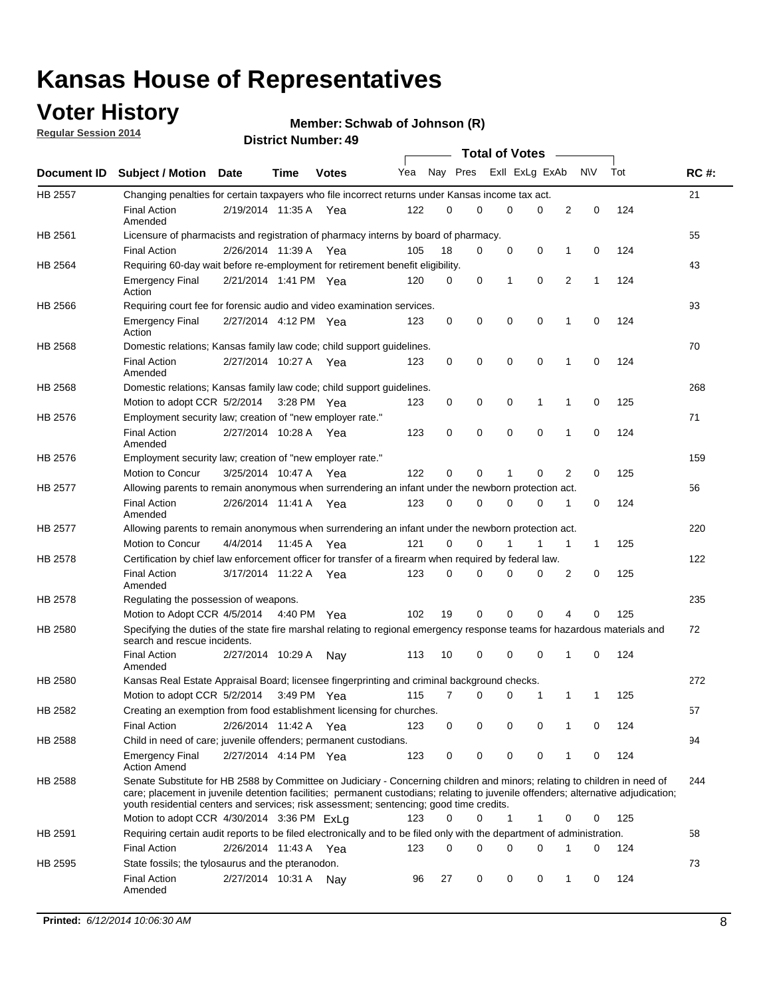## **Voter History**

**Regular Session 2014**

#### **Member: Schwab of Johnson (R)**

|                |                                                                                                                                                                                                                                                                                                                                                           |                       |             |              |     |          |   | <b>Total of Votes</b> |             |             |             |     |             |
|----------------|-----------------------------------------------------------------------------------------------------------------------------------------------------------------------------------------------------------------------------------------------------------------------------------------------------------------------------------------------------------|-----------------------|-------------|--------------|-----|----------|---|-----------------------|-------------|-------------|-------------|-----|-------------|
|                | Document ID Subject / Motion Date                                                                                                                                                                                                                                                                                                                         |                       | Time        | <b>Votes</b> | Yea | Nay Pres |   | Exll ExLg ExAb        |             |             | <b>NV</b>   | Tot | <b>RC#:</b> |
| <b>HB 2557</b> | Changing penalties for certain taxpayers who file incorrect returns under Kansas income tax act.                                                                                                                                                                                                                                                          |                       |             |              |     |          |   |                       |             |             |             |     | 21          |
|                | <b>Final Action</b><br>Amended                                                                                                                                                                                                                                                                                                                            | 2/19/2014 11:35 A     |             | Yea          | 122 | 0        | 0 | 0                     | 0           | 2           | $\mathbf 0$ | 124 |             |
| HB 2561        | Licensure of pharmacists and registration of pharmacy interns by board of pharmacy.                                                                                                                                                                                                                                                                       |                       |             |              |     |          |   |                       |             |             |             |     | 55          |
|                | <b>Final Action</b>                                                                                                                                                                                                                                                                                                                                       | 2/26/2014 11:39 A Yea |             |              | 105 | 18       | 0 | 0                     | 0           | 1           | 0           | 124 |             |
| HB 2564        | Requiring 60-day wait before re-employment for retirement benefit eligibility.                                                                                                                                                                                                                                                                            |                       |             |              |     |          |   |                       |             |             |             |     | 43          |
|                | <b>Emergency Final</b><br>Action                                                                                                                                                                                                                                                                                                                          | 2/21/2014 1:41 PM Yea |             |              | 120 | 0        | 0 | 1                     | 0           | 2           | 1           | 124 |             |
| HB 2566        | Requiring court fee for forensic audio and video examination services.                                                                                                                                                                                                                                                                                    |                       |             |              |     |          |   |                       |             |             |             |     | 93          |
|                | <b>Emergency Final</b><br>Action                                                                                                                                                                                                                                                                                                                          | 2/27/2014 4:12 PM Yea |             |              | 123 | 0        | 0 | 0                     | $\mathbf 0$ | $\mathbf 1$ | 0           | 124 |             |
| HB 2568        | Domestic relations; Kansas family law code; child support guidelines.                                                                                                                                                                                                                                                                                     |                       |             |              |     |          |   |                       |             |             |             |     | 70          |
|                | <b>Final Action</b><br>Amended                                                                                                                                                                                                                                                                                                                            | 2/27/2014 10:27 A     |             | Yea          | 123 | 0        | 0 | 0                     | $\mathbf 0$ | 1           | 0           | 124 |             |
| HB 2568        | Domestic relations; Kansas family law code; child support guidelines.                                                                                                                                                                                                                                                                                     |                       |             |              |     |          |   |                       |             |             |             |     | 268         |
|                | Motion to adopt CCR 5/2/2014                                                                                                                                                                                                                                                                                                                              |                       | 3:28 PM Yea |              | 123 | 0        | 0 | 0                     | 1           | 1           | $\mathbf 0$ | 125 |             |
| HB 2576        | Employment security law; creation of "new employer rate."                                                                                                                                                                                                                                                                                                 |                       |             |              |     |          |   |                       |             |             |             |     | 71          |
|                | <b>Final Action</b><br>Amended                                                                                                                                                                                                                                                                                                                            | 2/27/2014 10:28 A Yea |             |              | 123 | 0        | 0 | 0                     | 0           | 1           | 0           | 124 |             |
| HB 2576        | Employment security law; creation of "new employer rate."                                                                                                                                                                                                                                                                                                 |                       |             |              |     |          |   |                       |             |             |             |     | 159         |
|                | Motion to Concur                                                                                                                                                                                                                                                                                                                                          | 3/25/2014 10:47 A     |             | Yea          | 122 | 0        | 0 | 1                     | 0           | 2           | 0           | 125 |             |
| HB 2577        | Allowing parents to remain anonymous when surrendering an infant under the newborn protection act.                                                                                                                                                                                                                                                        |                       |             |              |     |          |   |                       |             |             |             |     | 56          |
|                | <b>Final Action</b><br>Amended                                                                                                                                                                                                                                                                                                                            | 2/26/2014 11:41 A Yea |             |              | 123 | $\Omega$ | 0 | 0                     | $\Omega$    | 1           | 0           | 124 |             |
| HB 2577        | Allowing parents to remain anonymous when surrendering an infant under the newborn protection act.                                                                                                                                                                                                                                                        |                       |             |              |     |          |   |                       |             |             |             |     | 220         |
|                | Motion to Concur                                                                                                                                                                                                                                                                                                                                          | 4/4/2014              | 11:45 A     | Yea          | 121 | $\Omega$ | 0 | 1                     | 1           | 1           | 1           | 125 |             |
| HB 2578        | Certification by chief law enforcement officer for transfer of a firearm when required by federal law.                                                                                                                                                                                                                                                    |                       |             |              |     |          |   |                       |             |             |             |     | 122         |
|                | <b>Final Action</b><br>Amended                                                                                                                                                                                                                                                                                                                            | 3/17/2014 11:22 A     |             | Yea          | 123 | 0        | 0 | 0                     | 0           | 2           | 0           | 125 |             |
| HB 2578        | Regulating the possession of weapons.                                                                                                                                                                                                                                                                                                                     |                       |             |              |     |          |   |                       |             |             |             |     | 235         |
|                | Motion to Adopt CCR 4/5/2014 4:40 PM Yea                                                                                                                                                                                                                                                                                                                  |                       |             |              | 102 | 19       | 0 | 0                     | 0           | 4           | 0           | 125 |             |
| HB 2580        | Specifying the duties of the state fire marshal relating to regional emergency response teams for hazardous materials and<br>search and rescue incidents.                                                                                                                                                                                                 |                       |             |              |     |          |   |                       |             |             |             |     | 72          |
|                | <b>Final Action</b><br>Amended                                                                                                                                                                                                                                                                                                                            | 2/27/2014 10:29 A     |             | Nav          | 113 | 10       | 0 | 0                     | $\mathbf 0$ | 1           | 0           | 124 |             |
| HB 2580        | Kansas Real Estate Appraisal Board; licensee fingerprinting and criminal background checks.                                                                                                                                                                                                                                                               |                       |             |              |     |          |   |                       |             |             |             |     | 272         |
|                | Motion to adopt CCR 5/2/2014                                                                                                                                                                                                                                                                                                                              |                       | 3:49 PM Yea |              | 115 | 7        | 0 | 0                     | 1           | 1           | 1           | 125 |             |
| HB 2582        | Creating an exemption from food establishment licensing for churches.                                                                                                                                                                                                                                                                                     |                       |             |              |     |          |   |                       |             |             |             |     | 57          |
|                | <b>Final Action</b>                                                                                                                                                                                                                                                                                                                                       | 2/26/2014 11:42 A Yea |             |              | 123 | 0        | 0 | 0                     | 0           |             | 0           | 124 |             |
| HB 2588        | Child in need of care; juvenile offenders; permanent custodians.                                                                                                                                                                                                                                                                                          |                       |             |              |     |          |   |                       |             |             |             |     | 94          |
|                | <b>Emergency Final</b><br><b>Action Amend</b>                                                                                                                                                                                                                                                                                                             | 2/27/2014 4:14 PM Yea |             |              | 123 | 0        | 0 | 0                     | 0           | 1           | 0           | 124 |             |
| HB 2588        | Senate Substitute for HB 2588 by Committee on Judiciary - Concerning children and minors; relating to children in need of<br>care; placement in juvenile detention facilities; permanent custodians; relating to juvenile offenders; alternative adjudication;<br>youth residential centers and services; risk assessment; sentencing; good time credits. |                       |             |              |     |          |   |                       |             |             |             |     | 244         |
|                | Motion to adopt CCR 4/30/2014 3:36 PM ExLa                                                                                                                                                                                                                                                                                                                |                       |             |              | 123 | 0        | 0 | 1                     | 1           | 0           | 0           | 125 |             |
| HB 2591        | Requiring certain audit reports to be filed electronically and to be filed only with the department of administration.                                                                                                                                                                                                                                    |                       |             |              |     |          |   |                       |             |             |             |     | 58          |
|                | <b>Final Action</b>                                                                                                                                                                                                                                                                                                                                       | 2/26/2014 11:43 A Yea |             |              | 123 | 0        | 0 | 0                     | 0           | 1           | 0           | 124 |             |
| HB 2595        | State fossils; the tylosaurus and the pteranodon.                                                                                                                                                                                                                                                                                                         |                       |             |              |     |          |   |                       |             |             |             |     | 73          |
|                | <b>Final Action</b><br>Amended                                                                                                                                                                                                                                                                                                                            | 2/27/2014 10:31 A Nay |             |              | 96  | 27       | 0 | 0                     | 0           | 1           | 0           | 124 |             |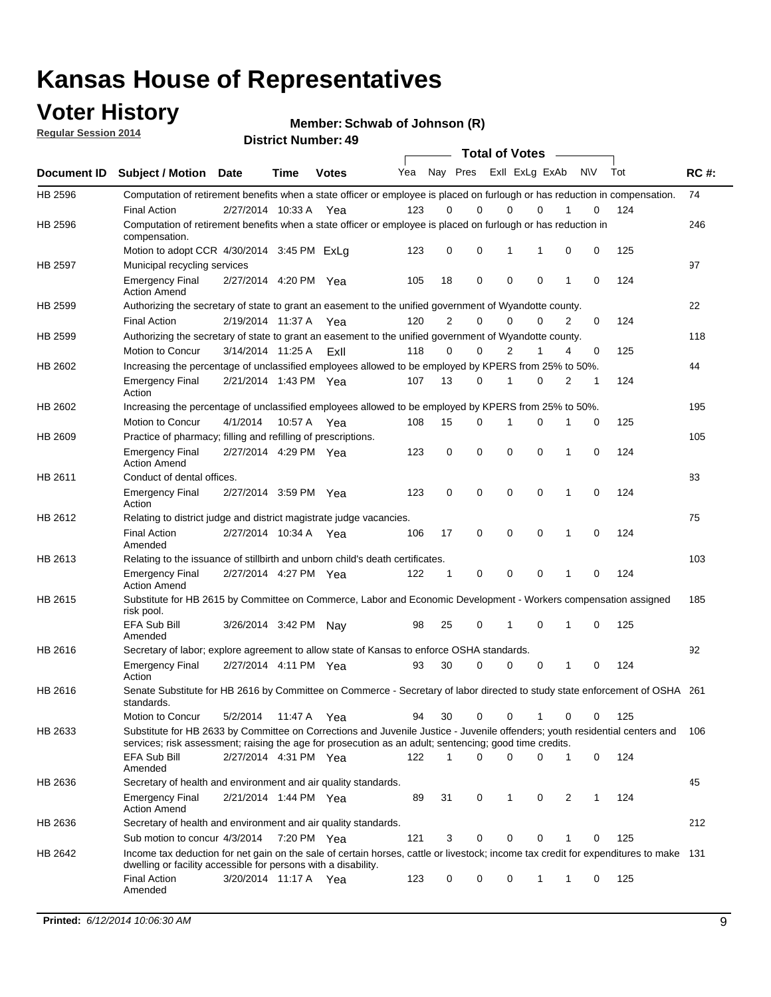### **Voter History**

**Regular Session 2014**

**Member: Schwab of Johnson (R)** 

|             |                                                                                                                                                                                                                                       |                       |             | <del>רד</del> . וסטווווט <del>כ</del> ו שווסו |     |              |             | <b>Total of Votes</b> |             |              |           |     |             |
|-------------|---------------------------------------------------------------------------------------------------------------------------------------------------------------------------------------------------------------------------------------|-----------------------|-------------|-----------------------------------------------|-----|--------------|-------------|-----------------------|-------------|--------------|-----------|-----|-------------|
| Document ID | <b>Subject / Motion Date</b>                                                                                                                                                                                                          |                       | Time        | <b>Votes</b>                                  | Yea | Nay Pres     |             | Exll ExLg ExAb        |             |              | <b>NV</b> | Tot | <b>RC#:</b> |
| HB 2596     | Computation of retirement benefits when a state officer or employee is placed on furlough or has reduction in compensation.                                                                                                           |                       |             |                                               |     |              |             |                       |             |              |           |     | 74          |
|             | <b>Final Action</b>                                                                                                                                                                                                                   | 2/27/2014 10:33 A     |             | Yea                                           | 123 | 0            | $\Omega$    | $\mathbf 0$           | $\Omega$    |              | 0         | 124 |             |
| HB 2596     | Computation of retirement benefits when a state officer or employee is placed on furlough or has reduction in<br>compensation.                                                                                                        |                       |             |                                               |     |              |             |                       |             |              |           |     | 246         |
|             | Motion to adopt CCR 4/30/2014 3:45 PM ExLa                                                                                                                                                                                            |                       |             |                                               | 123 | 0            | 0           | 1                     |             | 0            | 0         | 125 |             |
| HB 2597     | Municipal recycling services                                                                                                                                                                                                          |                       |             |                                               |     |              |             |                       |             |              |           |     | 97          |
|             | <b>Emergency Final</b><br><b>Action Amend</b>                                                                                                                                                                                         | 2/27/2014 4:20 PM Yea |             |                                               | 105 | 18           | 0           | $\mathbf 0$           | $\mathbf 0$ | 1            | 0         | 124 |             |
| HB 2599     | Authorizing the secretary of state to grant an easement to the unified government of Wyandotte county.                                                                                                                                |                       |             |                                               |     |              |             |                       |             |              |           |     | 22          |
|             | <b>Final Action</b>                                                                                                                                                                                                                   | 2/19/2014 11:37 A Yea |             |                                               | 120 | 2            | 0           | $\Omega$              | 0           | 2            | 0         | 124 |             |
| HB 2599     | Authorizing the secretary of state to grant an easement to the unified government of Wyandotte county.                                                                                                                                |                       |             |                                               |     |              |             |                       |             |              |           |     | 118         |
|             | Motion to Concur                                                                                                                                                                                                                      | 3/14/2014 11:25 A     |             | Exll                                          | 118 | 0            | 0           | 2                     | 1           | 4            | 0         | 125 |             |
| HB 2602     | Increasing the percentage of unclassified employees allowed to be employed by KPERS from 25% to 50%.                                                                                                                                  |                       |             |                                               |     |              |             |                       |             |              |           |     | 44          |
|             | <b>Emergency Final</b><br>Action                                                                                                                                                                                                      | 2/21/2014 1:43 PM Yea |             |                                               | 107 | 13           | 0           | 1                     | 0           | 2            | 1         | 124 |             |
| HB 2602     | Increasing the percentage of unclassified employees allowed to be employed by KPERS from 25% to 50%.                                                                                                                                  |                       |             |                                               |     |              |             |                       |             |              |           |     | 195         |
|             | Motion to Concur                                                                                                                                                                                                                      | 4/1/2014              | 10:57 A     | Yea                                           | 108 | 15           | 0           | 1                     | 0           | 1            | 0         | 125 |             |
| HB 2609     | Practice of pharmacy; filling and refilling of prescriptions.                                                                                                                                                                         |                       |             |                                               |     |              |             |                       |             |              |           |     | 105         |
|             | <b>Emergency Final</b><br><b>Action Amend</b>                                                                                                                                                                                         | 2/27/2014 4:29 PM Yea |             |                                               | 123 | 0            | $\mathbf 0$ | $\mathbf 0$           | 0           | $\mathbf{1}$ | 0         | 124 |             |
| HB 2611     | Conduct of dental offices.                                                                                                                                                                                                            |                       |             |                                               |     |              |             |                       |             |              |           |     | 83          |
|             | <b>Emergency Final</b><br>Action                                                                                                                                                                                                      | 2/27/2014 3:59 PM Yea |             |                                               | 123 | 0            | $\mathbf 0$ | $\mathbf 0$           | 0           | 1            | 0         | 124 |             |
| HB 2612     | Relating to district judge and district magistrate judge vacancies.                                                                                                                                                                   |                       |             |                                               |     |              |             |                       |             |              |           |     | 75          |
|             | <b>Final Action</b><br>Amended                                                                                                                                                                                                        | 2/27/2014 10:34 A     |             | Yea                                           | 106 | 17           | $\mathbf 0$ | $\mathbf 0$           | $\mathbf 0$ | 1            | $\Omega$  | 124 |             |
| HB 2613     | Relating to the issuance of stillbirth and unborn child's death certificates.                                                                                                                                                         |                       |             |                                               |     |              |             |                       |             |              |           |     | 103         |
|             | <b>Emergency Final</b><br><b>Action Amend</b>                                                                                                                                                                                         | 2/27/2014 4:27 PM Yea |             |                                               | 122 | $\mathbf{1}$ | 0           | $\mathbf 0$           | 0           | 1            | 0         | 124 |             |
| HB 2615     | Substitute for HB 2615 by Committee on Commerce, Labor and Economic Development - Workers compensation assigned<br>risk pool.                                                                                                         |                       |             |                                               |     |              |             |                       |             |              |           |     | 185         |
|             | EFA Sub Bill<br>Amended                                                                                                                                                                                                               | 3/26/2014 3:42 PM Nay |             |                                               | 98  | 25           | 0           | 1                     | 0           | 1            | 0         | 125 |             |
| HB 2616     | Secretary of labor; explore agreement to allow state of Kansas to enforce OSHA standards.                                                                                                                                             |                       |             |                                               |     |              |             |                       |             |              |           |     | 92          |
|             | <b>Emergency Final</b><br>Action                                                                                                                                                                                                      | 2/27/2014 4:11 PM Yea |             |                                               | 93  | 30           | 0           | $\mathbf 0$           | $\mathbf 0$ | 1            | 0         | 124 |             |
| HB 2616     | Senate Substitute for HB 2616 by Committee on Commerce - Secretary of labor directed to study state enforcement of OSHA 261<br>standards.                                                                                             |                       |             |                                               |     |              |             |                       |             |              |           |     |             |
|             | Motion to Concur                                                                                                                                                                                                                      | 5/2/2014              | 11:47 A Yea |                                               | 94  | 30           | 0           | $\mathbf 0$           | 1           | 0            | 0         | 125 |             |
| HB 2633     | Substitute for HB 2633 by Committee on Corrections and Juvenile Justice - Juvenile offenders; youth residential centers and<br>services; risk assessment; raising the age for prosecution as an adult; sentencing; good time credits. |                       |             |                                               |     |              |             |                       |             |              |           |     | - 106       |
|             | EFA Sub Bill<br>Amended                                                                                                                                                                                                               | 2/27/2014 4:31 PM Yea |             |                                               | 122 | $\mathbf 1$  | $\Omega$    | $\mathbf 0$           | 0           | 1            | 0         | 124 |             |
| HB 2636     | Secretary of health and environment and air quality standards.                                                                                                                                                                        |                       |             |                                               |     |              |             |                       |             |              |           |     | 45          |
|             | <b>Emergency Final</b><br><b>Action Amend</b>                                                                                                                                                                                         | 2/21/2014 1:44 PM Yea |             |                                               | 89  | 31           | 0           | 1                     | 0           | 2            | 1         | 124 |             |
| HB 2636     | Secretary of health and environment and air quality standards.                                                                                                                                                                        |                       |             |                                               |     |              |             |                       |             |              |           |     | 212         |
|             | Sub motion to concur 4/3/2014                                                                                                                                                                                                         |                       | 7:20 PM Yea |                                               | 121 | 3            | 0           | 0                     | 0           | 1            | 0         | 125 |             |
| HB 2642     | Income tax deduction for net gain on the sale of certain horses, cattle or livestock; income tax credit for expenditures to make 131                                                                                                  |                       |             |                                               |     |              |             |                       |             |              |           |     |             |
|             | dwelling or facility accessible for persons with a disability.<br><b>Final Action</b>                                                                                                                                                 | 3/20/2014 11:17 A Yea |             |                                               | 123 | 0            | 0           | 0                     | 1           | 1            | 0         | 125 |             |
|             | Amended                                                                                                                                                                                                                               |                       |             |                                               |     |              |             |                       |             |              |           |     |             |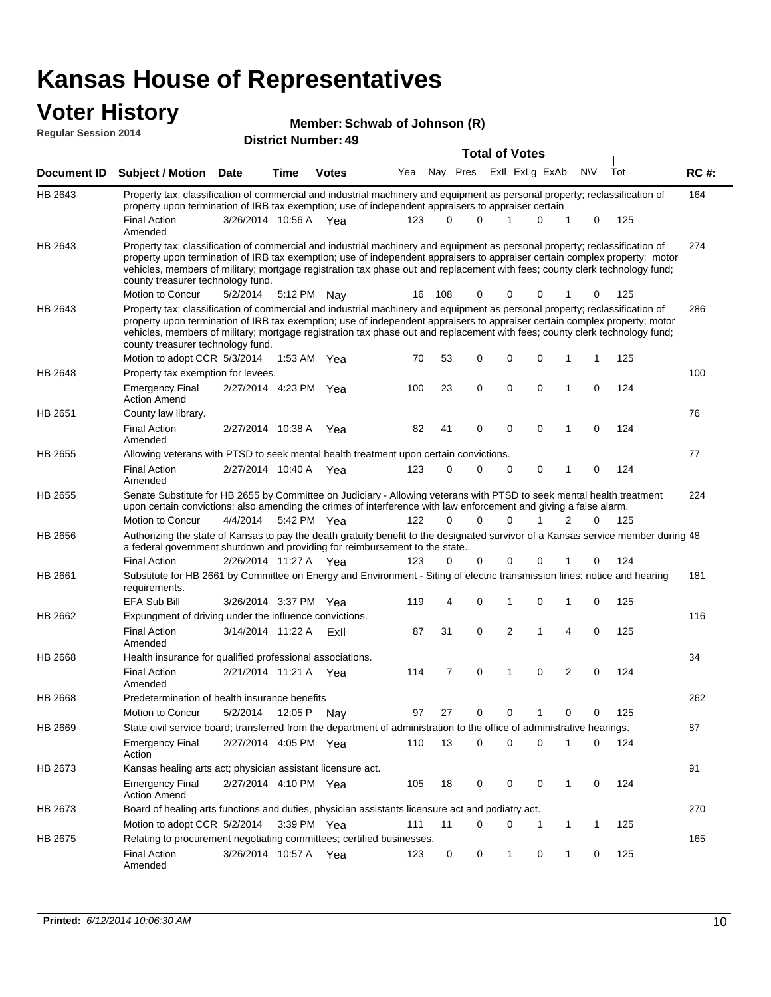# **Voter History Member: Regular Session 2014**

| Member: Schwab of Johnson (R) |  |
|-------------------------------|--|
|-------------------------------|--|

| דו טב ווטוכסט ומוועס וו |                                                                                                                                                                                                                                                                                                                                                                                                                               | <b>District Number: 49</b> |      |               |     |     |                      |   |                       |                |   |             |     |             |
|-------------------------|-------------------------------------------------------------------------------------------------------------------------------------------------------------------------------------------------------------------------------------------------------------------------------------------------------------------------------------------------------------------------------------------------------------------------------|----------------------------|------|---------------|-----|-----|----------------------|---|-----------------------|----------------|---|-------------|-----|-------------|
|                         |                                                                                                                                                                                                                                                                                                                                                                                                                               |                            |      |               |     |     |                      |   | <b>Total of Votes</b> |                |   |             |     |             |
| Document <b>ID</b>      | <b>Subject / Motion Date</b>                                                                                                                                                                                                                                                                                                                                                                                                  |                            | Time | <b>Votes</b>  | Yea |     | Nay Pres             |   |                       | Exll ExLg ExAb |   | N\V         | Tot | <b>RC#:</b> |
| HB 2643                 | Property tax; classification of commercial and industrial machinery and equipment as personal property; reclassification of<br>property upon termination of IRB tax exemption; use of independent appraisers to appraiser certain                                                                                                                                                                                             |                            |      |               |     |     |                      |   |                       |                |   |             |     | 164         |
|                         | Final Action<br>Amended                                                                                                                                                                                                                                                                                                                                                                                                       | 3/26/2014 10:56 A Yea      |      |               | 123 |     | 0<br>0               |   |                       | 0              | 1 | 0           | 125 |             |
| HB 2643                 | Property tax; classification of commercial and industrial machinery and equipment as personal property; reclassification of<br>property upon termination of IRB tax exemption; use of independent appraisers to appraiser certain complex property; motor<br>vehicles, members of military; mortgage registration tax phase out and replacement with fees; county clerk technology fund;<br>county treasurer technology fund. |                            |      |               |     |     |                      |   |                       |                |   |             |     | 274         |
|                         | Motion to Concur                                                                                                                                                                                                                                                                                                                                                                                                              | 5/2/2014                   |      | 5:12 PM Nay   | 16  | 108 | 0                    |   | 0                     | 0              |   | 0           | 125 |             |
| HB 2643                 | Property tax; classification of commercial and industrial machinery and equipment as personal property; reclassification of<br>property upon termination of IRB tax exemption; use of independent appraisers to appraiser certain complex property; motor<br>vehicles, members of military; mortgage registration tax phase out and replacement with fees; county clerk technology fund;<br>county treasurer technology fund. |                            |      |               |     |     |                      |   |                       |                |   |             |     | 286         |
|                         | Motion to adopt CCR 5/3/2014                                                                                                                                                                                                                                                                                                                                                                                                  |                            |      | 1:53 AM $Yea$ | 70  | 53  | 0                    |   | $\mathbf 0$           | 0              | 1 | 1           | 125 |             |
| HB 2648                 | Property tax exemption for levees.                                                                                                                                                                                                                                                                                                                                                                                            |                            |      |               |     |     |                      |   |                       |                |   |             |     | 100         |
|                         | <b>Emergency Final</b><br><b>Action Amend</b>                                                                                                                                                                                                                                                                                                                                                                                 | 2/27/2014 4:23 PM Yea      |      |               | 100 | 23  | 0                    |   | 0                     | 0              | 1 | 0           | 124 |             |
| HB 2651                 | County law library.<br><b>Final Action</b>                                                                                                                                                                                                                                                                                                                                                                                    | 2/27/2014 10:38 A          |      | Yea           | 82  | 41  | 0                    |   | $\mathbf 0$           | $\mathbf 0$    | 1 | 0           | 124 | 76          |
|                         | Amended                                                                                                                                                                                                                                                                                                                                                                                                                       |                            |      |               |     |     |                      |   |                       |                |   |             |     |             |
| HB 2655                 | Allowing veterans with PTSD to seek mental health treatment upon certain convictions.                                                                                                                                                                                                                                                                                                                                         |                            |      |               |     |     |                      |   |                       |                |   |             |     | 77          |
|                         | <b>Final Action</b><br>Amended                                                                                                                                                                                                                                                                                                                                                                                                | 2/27/2014 10:40 A          |      | Yea           | 123 | 0   | 0                    |   | $\mathbf 0$           | 0              | 1 | $\mathbf 0$ | 124 |             |
| HB 2655                 | Senate Substitute for HB 2655 by Committee on Judiciary - Allowing veterans with PTSD to seek mental health treatment<br>upon certain convictions; also amending the crimes of interference with law enforcement and giving a false alarm.                                                                                                                                                                                    |                            |      |               |     |     |                      |   |                       |                |   |             |     | 224         |
|                         | Motion to Concur                                                                                                                                                                                                                                                                                                                                                                                                              | 4/4/2014                   |      | 5:42 PM Yea   | 122 |     | $\Omega$<br>$\Omega$ |   | $\Omega$              |                | 2 | 0           | 125 |             |
| HB 2656                 | Authorizing the state of Kansas to pay the death gratuity benefit to the designated survivor of a Kansas service member during 48<br>a federal government shutdown and providing for reimbursement to the state                                                                                                                                                                                                               |                            |      |               |     |     |                      |   |                       |                |   |             |     |             |
|                         | <b>Final Action</b>                                                                                                                                                                                                                                                                                                                                                                                                           | 2/26/2014 11:27 A Yea      |      |               | 123 |     | 0<br>0               |   | 0                     | 0              |   | 0           | 124 |             |
| HB 2661                 | Substitute for HB 2661 by Committee on Energy and Environment - Siting of electric transmission lines; notice and hearing<br>requirements.                                                                                                                                                                                                                                                                                    |                            |      |               |     |     |                      |   |                       |                |   |             |     | 181         |
|                         | <b>EFA Sub Bill</b>                                                                                                                                                                                                                                                                                                                                                                                                           | 3/26/2014 3:37 PM Yea      |      |               | 119 |     | 0<br>4               | 1 |                       | 0              | 1 | 0           | 125 |             |
| HB 2662                 | Expungment of driving under the influence convictions.                                                                                                                                                                                                                                                                                                                                                                        |                            |      |               |     |     |                      |   |                       |                |   |             |     | 116         |
|                         | <b>Final Action</b><br>Amended                                                                                                                                                                                                                                                                                                                                                                                                | 3/14/2014 11:22 A          |      | ExII          | 87  | 31  | 0                    |   | $\overline{2}$        | 1              | 4 | 0           | 125 |             |
| HB 2668                 | Health insurance for qualified professional associations.                                                                                                                                                                                                                                                                                                                                                                     |                            |      |               |     |     |                      |   |                       |                |   |             |     | 34          |
|                         | <b>Final Action</b><br>Amended                                                                                                                                                                                                                                                                                                                                                                                                | 2/21/2014 11:21 A Yea      |      |               | 114 |     | 7<br>0               |   | 1                     | 0              | 2 | 0           | 124 |             |
| <b>HB 2668</b>          | Predetermination of health insurance benefits                                                                                                                                                                                                                                                                                                                                                                                 |                            |      |               |     |     |                      |   |                       |                |   |             |     | 262         |
|                         | Motion to Concur                                                                                                                                                                                                                                                                                                                                                                                                              | 5/2/2014 12:05 P Nay       |      |               | 97  | 27  | 0                    |   | 0                     |                | 0 | 0           | 125 |             |
| HB 2669                 | State civil service board; transferred from the department of administration to the office of administrative hearings.                                                                                                                                                                                                                                                                                                        |                            |      |               |     |     |                      |   |                       |                |   |             |     | 87          |
|                         | <b>Emergency Final</b><br>Action                                                                                                                                                                                                                                                                                                                                                                                              | 2/27/2014 4:05 PM Yea      |      |               | 110 | 13  | 0                    |   | 0                     | 0              | 1 | 0           | 124 |             |
| HB 2673                 | Kansas healing arts act; physician assistant licensure act.                                                                                                                                                                                                                                                                                                                                                                   |                            |      |               |     |     |                      |   |                       |                |   |             |     | 91          |
|                         | <b>Emergency Final</b><br><b>Action Amend</b>                                                                                                                                                                                                                                                                                                                                                                                 | 2/27/2014 4:10 PM Yea      |      |               | 105 | 18  | 0                    |   | 0                     | 0              | 1 | 0           | 124 |             |
| HB 2673                 | Board of healing arts functions and duties, physician assistants licensure act and podiatry act.                                                                                                                                                                                                                                                                                                                              |                            |      |               |     |     |                      |   |                       |                |   |             |     | 270         |
|                         | Motion to adopt CCR 5/2/2014                                                                                                                                                                                                                                                                                                                                                                                                  |                            |      | 3:39 PM Yea   | 111 | 11  | 0                    |   | 0                     | 1              | 1 | 1           | 125 |             |
| HB 2675                 | Relating to procurement negotiating committees; certified businesses.                                                                                                                                                                                                                                                                                                                                                         |                            |      |               |     |     |                      |   |                       |                |   |             |     | 165         |
|                         | <b>Final Action</b><br>Amended                                                                                                                                                                                                                                                                                                                                                                                                | 3/26/2014 10:57 A Yea      |      |               | 123 |     | 0<br>0               |   | 1                     | 0              | 1 | 0           | 125 |             |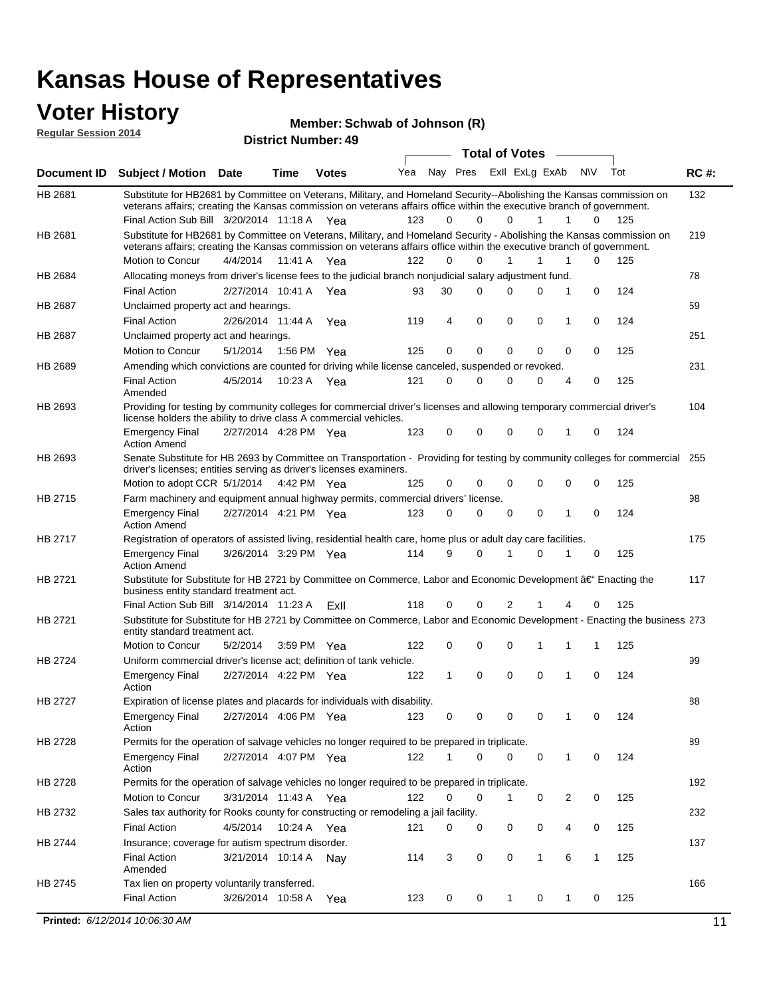#### **Voter History Regular Session 2014**

**Member: Schwab of Johnson (R)** 

|                    | nuyurur Uuddiun Luin                                                                                                                                                                                                                                                                          |                       |         | <b>District Number: 49</b> |     |             |             |                       |                |                  |     |             |
|--------------------|-----------------------------------------------------------------------------------------------------------------------------------------------------------------------------------------------------------------------------------------------------------------------------------------------|-----------------------|---------|----------------------------|-----|-------------|-------------|-----------------------|----------------|------------------|-----|-------------|
|                    |                                                                                                                                                                                                                                                                                               |                       |         |                            |     |             |             | <b>Total of Votes</b> |                |                  |     |             |
| <b>Document ID</b> | <b>Subject / Motion Date</b>                                                                                                                                                                                                                                                                  |                       | Time    | <b>Votes</b>               | Yea |             | Nay Pres    |                       | ExII ExLg ExAb | N\V              | Tot | <b>RC#:</b> |
| HB 2681            | Substitute for HB2681 by Committee on Veterans, Military, and Homeland Security--Abolishing the Kansas commission on<br>veterans affairs; creating the Kansas commission on veterans affairs office within the executive branch of government.<br>Final Action Sub Bill 3/20/2014 11:18 A Yea |                       |         |                            | 123 | 0           | $\Omega$    | 0                     | 1              | 1<br>0           | 125 | 132         |
| HB 2681            | Substitute for HB2681 by Committee on Veterans, Military, and Homeland Security - Abolishing the Kansas commission on                                                                                                                                                                         |                       |         |                            |     |             |             |                       |                |                  |     | 219         |
|                    | veterans affairs; creating the Kansas commission on veterans affairs office within the executive branch of government.                                                                                                                                                                        |                       |         |                            |     |             |             |                       |                |                  |     |             |
|                    | Motion to Concur                                                                                                                                                                                                                                                                              | 4/4/2014              | 11:41 A | Yea                        | 122 | $\Omega$    | 0           | $\mathbf{1}$          | 1              | 1<br>0           | 125 |             |
| HB 2684            | Allocating moneys from driver's license fees to the judicial branch nonjudicial salary adjustment fund.                                                                                                                                                                                       |                       |         |                            |     |             |             |                       |                |                  |     | 78          |
|                    | <b>Final Action</b>                                                                                                                                                                                                                                                                           | 2/27/2014 10:41 A     |         | Yea                        | 93  | 30          | $\Omega$    | $\Omega$              | 0              | 1<br>0           | 124 |             |
| HB 2687            | Unclaimed property act and hearings.                                                                                                                                                                                                                                                          |                       |         |                            |     |             |             |                       |                |                  |     | 59          |
|                    | <b>Final Action</b>                                                                                                                                                                                                                                                                           | 2/26/2014 11:44 A     |         | Yea                        | 119 | 4           | $\mathbf 0$ | 0                     | 0              | 0<br>1           | 124 |             |
| HB 2687            | Unclaimed property act and hearings.                                                                                                                                                                                                                                                          |                       |         |                            |     |             |             |                       |                |                  |     | 251         |
|                    | Motion to Concur                                                                                                                                                                                                                                                                              | 5/1/2014              | 1:56 PM | Yea                        | 125 | 0           | $\mathbf 0$ | 0                     | 0              | 0<br>0           | 125 |             |
| HB 2689            | Amending which convictions are counted for driving while license canceled, suspended or revoked.                                                                                                                                                                                              |                       |         |                            |     |             |             |                       |                |                  |     | 231         |
|                    | <b>Final Action</b><br>Amended                                                                                                                                                                                                                                                                | 4/5/2014              | 10:23 A | Yea                        | 121 | $\mathbf 0$ | $\Omega$    | $\Omega$              | 0              | 0<br>4           | 125 |             |
| HB 2693            | Providing for testing by community colleges for commercial driver's licenses and allowing temporary commercial driver's<br>license holders the ability to drive class A commercial vehicles.                                                                                                  |                       |         |                            |     |             |             |                       |                |                  |     | 104         |
|                    | <b>Emergency Final</b><br><b>Action Amend</b>                                                                                                                                                                                                                                                 | 2/27/2014 4:28 PM Yea |         |                            | 123 | 0           | 0           | $\Omega$              | 0              | $\mathbf 0$<br>1 | 124 |             |
| HB 2693            | Senate Substitute for HB 2693 by Committee on Transportation - Providing for testing by community colleges for commercial<br>driver's licenses; entities serving as driver's licenses examiners.                                                                                              |                       |         |                            |     |             |             |                       |                |                  |     | 255         |
|                    | Motion to adopt CCR 5/1/2014 4:42 PM Yea                                                                                                                                                                                                                                                      |                       |         |                            | 125 | 0           | 0           | $\Omega$              | 0              | 0<br>0           | 125 |             |
| HB 2715            | Farm machinery and equipment annual highway permits, commercial drivers' license.                                                                                                                                                                                                             |                       |         |                            |     |             |             |                       |                |                  |     | 98          |
|                    | <b>Emergency Final</b><br><b>Action Amend</b>                                                                                                                                                                                                                                                 | 2/27/2014 4:21 PM Yea |         |                            | 123 | 0           | 0           | 0                     | 0              | 1<br>0           | 124 |             |
| HB 2717            | Registration of operators of assisted living, residential health care, home plus or adult day care facilities.                                                                                                                                                                                |                       |         |                            |     |             |             |                       |                |                  |     | 175         |
|                    | <b>Emergency Final</b><br><b>Action Amend</b>                                                                                                                                                                                                                                                 | 3/26/2014 3:29 PM Yea |         |                            | 114 | 9           | $\Omega$    |                       | $\Omega$       | 0                | 125 |             |
| HB 2721            | Substitute for Substitute for HB 2721 by Committee on Commerce, Labor and Economic Development †Enacting the<br>business entity standard treatment act.                                                                                                                                       |                       |         |                            |     |             |             |                       |                |                  |     | 117         |
|                    | Final Action Sub Bill 3/14/2014 11:23 A                                                                                                                                                                                                                                                       |                       |         | Exll                       | 118 | 0           | 0           | 2                     |                | 0<br>4           | 125 |             |
| HB 2721            | Substitute for Substitute for HB 2721 by Committee on Commerce, Labor and Economic Development - Enacting the business 273<br>entity standard treatment act.                                                                                                                                  |                       |         |                            |     |             |             |                       |                |                  |     |             |
|                    | Motion to Concur                                                                                                                                                                                                                                                                              | 5/2/2014              |         | 3:59 PM Yea                | 122 | 0           | 0           | $\Omega$              | 1              | 1<br>1           | 125 |             |
| HB 2724            | Uniform commercial driver's license act; definition of tank vehicle.<br><b>Emergency Final</b>                                                                                                                                                                                                | 2/27/2014 4:22 PM Yea |         |                            | 122 | 1           | 0           | 0                     | 0              | 1<br>0           | 124 | 99          |
|                    | Action                                                                                                                                                                                                                                                                                        |                       |         |                            |     |             |             |                       |                |                  |     |             |
| HB 2727            | Expiration of license plates and placards for individuals with disability.<br><b>Emergency Final</b><br>Action                                                                                                                                                                                | 2/27/2014 4:06 PM Yea |         |                            | 123 | 0           | 0           | 0                     | 0              | 0                | 124 | 88          |
| HB 2728            | Permits for the operation of salvage vehicles no longer required to be prepared in triplicate.                                                                                                                                                                                                |                       |         |                            |     |             |             |                       |                |                  |     | 89          |
|                    | <b>Emergency Final</b><br>Action                                                                                                                                                                                                                                                              | 2/27/2014 4:07 PM Yea |         |                            | 122 | 1           | 0           | $\Omega$              | 0              | 1<br>0           | 124 |             |
| HB 2728            | Permits for the operation of salvage vehicles no longer required to be prepared in triplicate.                                                                                                                                                                                                |                       |         |                            |     |             |             |                       |                |                  |     | 192         |
|                    | Motion to Concur                                                                                                                                                                                                                                                                              | 3/31/2014 11:43 A Yea |         |                            | 122 | 0           | 0           | 1                     | 0              | 2<br>0           | 125 |             |
| HB 2732            | Sales tax authority for Rooks county for constructing or remodeling a jail facility.                                                                                                                                                                                                          |                       |         |                            |     |             |             |                       |                |                  |     | 232         |
|                    | <b>Final Action</b>                                                                                                                                                                                                                                                                           | 4/5/2014              |         | 10:24 A Yea                | 121 | 0           | 0           | 0                     | 0              | 4<br>0           | 125 |             |
| HB 2744            | Insurance; coverage for autism spectrum disorder.                                                                                                                                                                                                                                             |                       |         |                            |     |             |             |                       |                |                  |     | 137         |
|                    | <b>Final Action</b>                                                                                                                                                                                                                                                                           | 3/21/2014 10:14 A Nay |         |                            | 114 | 3           | 0           | 0                     | $\mathbf{1}$   | 6<br>1           | 125 |             |
|                    | Amended                                                                                                                                                                                                                                                                                       |                       |         |                            |     |             |             |                       |                |                  |     |             |
| HB 2745            | Tax lien on property voluntarily transferred.                                                                                                                                                                                                                                                 |                       |         |                            |     |             |             |                       |                |                  |     | 166         |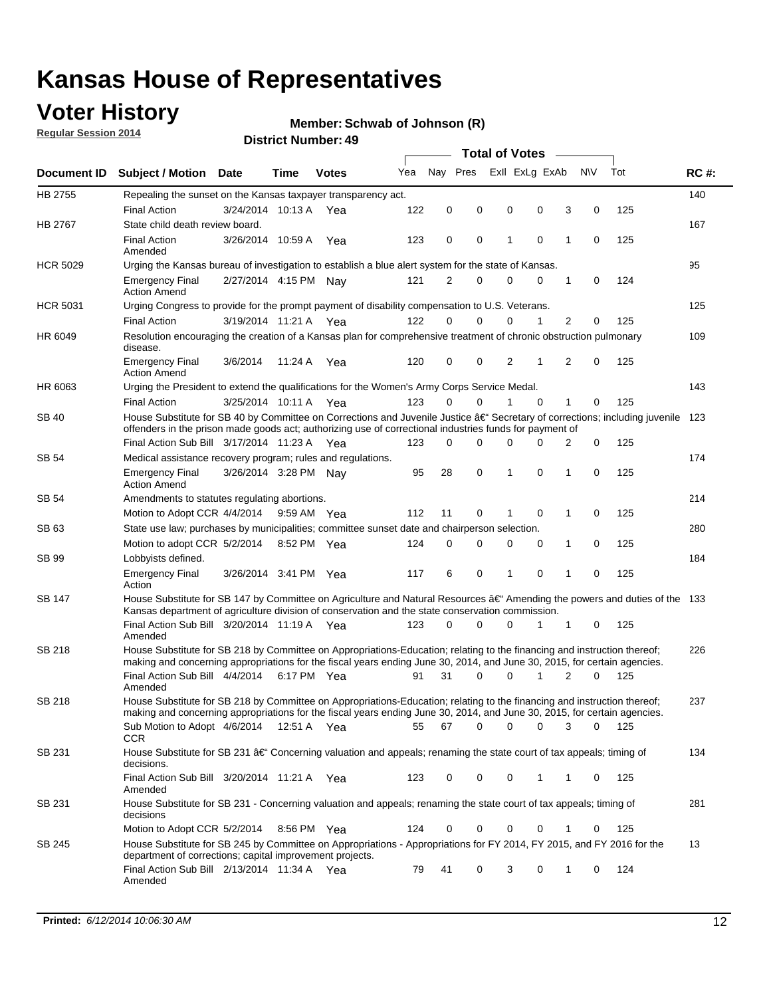## **Voter History**

**Regular Session 2014**

#### **Member: Schwab of Johnson (R)**

|                    |                                                                                                                                                                                                                                      |                       |             |              |     |             |          |   | <b>Total of Votes</b> |             |           |             |     |             |
|--------------------|--------------------------------------------------------------------------------------------------------------------------------------------------------------------------------------------------------------------------------------|-----------------------|-------------|--------------|-----|-------------|----------|---|-----------------------|-------------|-----------|-------------|-----|-------------|
| <b>Document ID</b> | <b>Subject / Motion</b>                                                                                                                                                                                                              | <b>Date</b>           | Time        | <b>Votes</b> | Yea | Nay Pres    |          |   | Exll ExLg ExAb        |             | <b>NV</b> |             | Tot | <b>RC#:</b> |
| HB 2755            | Repealing the sunset on the Kansas taxpayer transparency act.                                                                                                                                                                        |                       |             |              |     |             |          |   |                       |             |           |             |     | 140         |
|                    | <b>Final Action</b>                                                                                                                                                                                                                  | 3/24/2014 10:13 A     |             | Yea          | 122 | 0           | 0        | 0 |                       | 0           | 3         | 0           | 125 |             |
| HB 2767            | State child death review board.                                                                                                                                                                                                      |                       |             |              |     |             |          |   |                       |             |           |             |     | 167         |
|                    | <b>Final Action</b><br>Amended                                                                                                                                                                                                       | 3/26/2014 10:59 A     |             | Yea          | 123 | $\mathbf 0$ | 0        | 1 |                       | 0           | 1         | 0           | 125 |             |
| <b>HCR 5029</b>    | Urging the Kansas bureau of investigation to establish a blue alert system for the state of Kansas.                                                                                                                                  |                       |             |              |     |             |          |   |                       |             |           |             |     | 95          |
|                    | <b>Emergency Final</b><br><b>Action Amend</b>                                                                                                                                                                                        | 2/27/2014 4:15 PM Nay |             |              | 121 | 2           | 0        | 0 |                       | 0           | 1         | 0           | 124 |             |
| <b>HCR 5031</b>    | Urging Congress to provide for the prompt payment of disability compensation to U.S. Veterans.                                                                                                                                       |                       |             |              |     |             |          |   |                       |             |           |             |     | 125         |
|                    | <b>Final Action</b>                                                                                                                                                                                                                  | 3/19/2014 11:21 A Yea |             |              | 122 | $\Omega$    | 0        | 0 |                       | 1           | 2         | 0           | 125 |             |
| HR 6049            | Resolution encouraging the creation of a Kansas plan for comprehensive treatment of chronic obstruction pulmonary<br>disease.                                                                                                        |                       |             |              |     |             |          |   |                       |             |           |             |     | 109         |
|                    | <b>Emergency Final</b><br><b>Action Amend</b>                                                                                                                                                                                        | 3/6/2014              | 11:24 A     | Yea          | 120 | 0           | 0        |   | 2                     | 1           | 2         | 0           | 125 |             |
| HR 6063            | Urging the President to extend the qualifications for the Women's Army Corps Service Medal.                                                                                                                                          |                       |             |              |     |             |          |   |                       |             |           |             |     | 143         |
|                    | <b>Final Action</b>                                                                                                                                                                                                                  | 3/25/2014 10:11 A Yea |             |              | 123 | $\Omega$    | $\Omega$ | 1 |                       | $\Omega$    | 1         | 0           | 125 |             |
| SB 40              | House Substitute for SB 40 by Committee on Corrections and Juvenile Justice †Secretary of corrections; including juvenile<br>offenders in the prison made goods act; authorizing use of correctional industries funds for payment of |                       |             |              |     |             |          |   |                       |             |           |             |     | 123         |
|                    | Final Action Sub Bill 3/17/2014 11:23 A Yea                                                                                                                                                                                          |                       |             |              | 123 | 0           | 0        | 0 |                       | 0           | 2         | 0           | 125 |             |
| SB 54              | Medical assistance recovery program; rules and regulations.                                                                                                                                                                          |                       |             |              |     |             |          |   |                       |             |           |             |     | 174         |
|                    | <b>Emergency Final</b><br><b>Action Amend</b>                                                                                                                                                                                        | 3/26/2014 3:28 PM Nay |             |              | 95  | 28          | 0        | 1 |                       | 0           | 1         | $\mathbf 0$ | 125 |             |
| <b>SB 54</b>       | Amendments to statutes regulating abortions.                                                                                                                                                                                         |                       |             |              |     |             |          |   |                       |             |           |             |     | 214         |
|                    | Motion to Adopt CCR 4/4/2014                                                                                                                                                                                                         |                       | 9:59 AM Yea |              | 112 | 11          | 0        | 1 |                       | 0           | 1         | 0           | 125 |             |
| SB 63              | State use law; purchases by municipalities; committee sunset date and chairperson selection.                                                                                                                                         |                       |             |              |     |             |          |   |                       |             |           |             |     | 280         |
|                    | Motion to adopt CCR 5/2/2014                                                                                                                                                                                                         |                       | 8:52 PM Yea |              | 124 | $\mathbf 0$ | 0        |   | 0                     | 0           | 1         | 0           | 125 |             |
| <b>SB 99</b>       | Lobbyists defined.                                                                                                                                                                                                                   |                       |             |              |     |             |          |   |                       |             |           |             |     | 184         |
|                    | <b>Emergency Final</b><br>Action                                                                                                                                                                                                     | 3/26/2014 3:41 PM Yea |             |              | 117 | 6           | 0        | 1 |                       | 0           | 1         | 0           | 125 |             |
| SB 147             | House Substitute for SB 147 by Committee on Agriculture and Natural Resources †Amending the powers and duties of the 133<br>Kansas department of agriculture division of conservation and the state conservation commission.         |                       |             |              |     |             |          |   |                       |             |           |             |     |             |
|                    | Final Action Sub Bill 3/20/2014 11:19 A Yea<br>Amended                                                                                                                                                                               |                       |             |              | 123 | 0           | 0        |   | 0                     | 1           | 1         | 0           | 125 |             |
| <b>SB 218</b>      | House Substitute for SB 218 by Committee on Appropriations-Education; relating to the financing and instruction thereof;                                                                                                             |                       |             |              |     |             |          |   |                       |             |           |             |     | 226         |
|                    | making and concerning appropriations for the fiscal years ending June 30, 2014, and June 30, 2015, for certain agencies.<br>Final Action Sub Bill 4/4/2014 6:17 PM Yea                                                               |                       |             |              | 91  | 31          | 0        |   | 0                     | 1           | 2         | 0           | 125 |             |
|                    | Amended                                                                                                                                                                                                                              |                       |             |              |     |             |          |   |                       |             |           |             |     |             |
| <b>SB 218</b>      | House Substitute for SB 218 by Committee on Appropriations-Education; relating to the financing and instruction thereof;                                                                                                             |                       |             |              |     |             |          |   |                       |             |           |             |     | 237         |
|                    | making and concerning appropriations for the fiscal years ending June 30, 2014, and June 30, 2015, for certain agencies.                                                                                                             |                       |             |              |     |             |          |   |                       |             |           |             |     |             |
|                    | Sub Motion to Adopt 4/6/2014 12:51 A Yea<br><b>CCR</b>                                                                                                                                                                               |                       |             |              | 55  | 67          | 0        |   | 0                     | 0           | 3         | 0           | 125 |             |
| SB 231             | House Substitute for SB 231 †Concerning valuation and appeals; renaming the state court of tax appeals; timing of<br>decisions.                                                                                                      |                       |             |              |     |             |          |   |                       |             |           |             |     | 134         |
|                    | Final Action Sub Bill 3/20/2014 11:21 A Yea<br>Amended                                                                                                                                                                               |                       |             |              | 123 | 0           | 0        |   | 0                     | 1           | 1         | 0           | 125 |             |
| SB 231             | House Substitute for SB 231 - Concerning valuation and appeals; renaming the state court of tax appeals; timing of<br>decisions                                                                                                      |                       |             |              |     |             |          |   |                       |             |           |             |     | 281         |
|                    | Motion to Adopt CCR 5/2/2014 8:56 PM Yea                                                                                                                                                                                             |                       |             |              | 124 | 0           | 0        |   | 0                     | 0           | 1         | 0           | 125 |             |
| SB 245             | House Substitute for SB 245 by Committee on Appropriations - Appropriations for FY 2014, FY 2015, and FY 2016 for the<br>department of corrections; capital improvement projects.                                                    |                       |             |              |     |             |          |   |                       |             |           |             |     | 13          |
|                    | Final Action Sub Bill 2/13/2014 11:34 A Yea<br>Amended                                                                                                                                                                               |                       |             |              | 79  | 41          | 0        |   | 3                     | $\mathbf 0$ | 1         | 0           | 124 |             |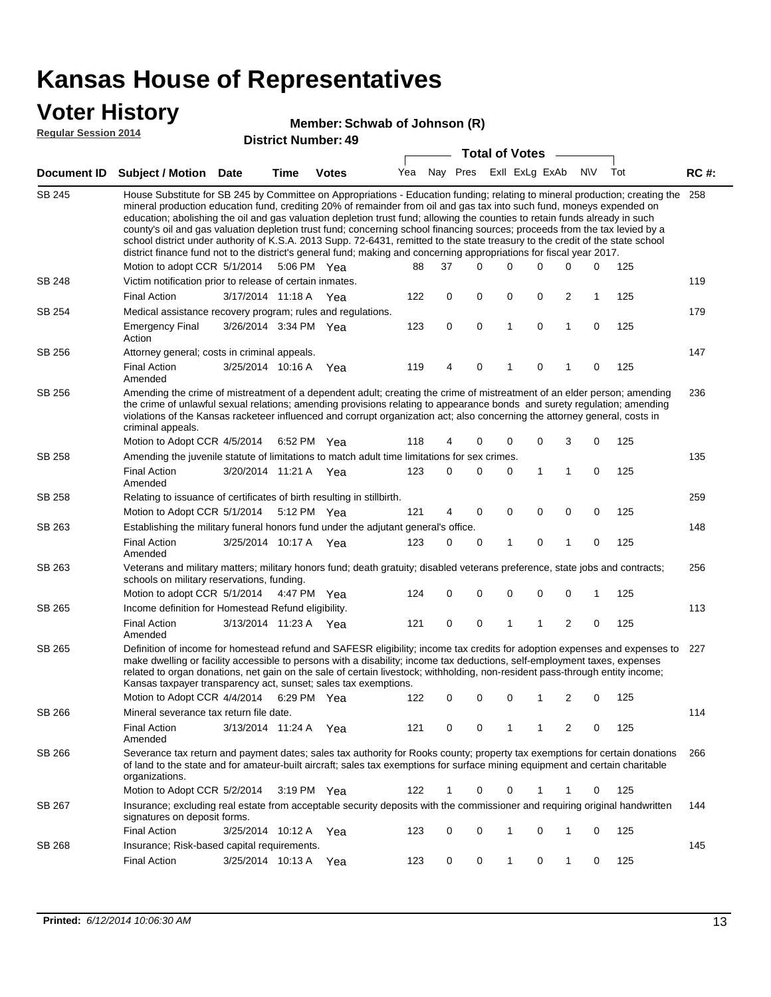### **Voter History**

#### **Schwab of Johnson (R)**

SB 245

SB 248

SB 254

SB 256

| 1 Y 171 1117171 1<br>Member: Schwab of Johnson (R) |                                                                                                                                                                                                                                                                                                                                                                                                                                                                                                                                                                                                                                                                                                                                                                               |                                                          |      |                            |     |          |             |                       |              |                |   |              |     |             |
|----------------------------------------------------|-------------------------------------------------------------------------------------------------------------------------------------------------------------------------------------------------------------------------------------------------------------------------------------------------------------------------------------------------------------------------------------------------------------------------------------------------------------------------------------------------------------------------------------------------------------------------------------------------------------------------------------------------------------------------------------------------------------------------------------------------------------------------------|----------------------------------------------------------|------|----------------------------|-----|----------|-------------|-----------------------|--------------|----------------|---|--------------|-----|-------------|
| <b>Regular Session 2014</b>                        |                                                                                                                                                                                                                                                                                                                                                                                                                                                                                                                                                                                                                                                                                                                                                                               |                                                          |      | <b>District Number: 49</b> |     |          |             |                       |              |                |   |              |     |             |
|                                                    |                                                                                                                                                                                                                                                                                                                                                                                                                                                                                                                                                                                                                                                                                                                                                                               |                                                          |      |                            |     |          |             | <b>Total of Votes</b> |              |                |   |              |     |             |
| <b>Document ID</b>                                 | <b>Subject / Motion Date</b>                                                                                                                                                                                                                                                                                                                                                                                                                                                                                                                                                                                                                                                                                                                                                  |                                                          | Time | <b>Votes</b>               | Yea | Nav      | Pres        |                       |              | ExII ExLg ExAb |   | N\V          | Tot | <b>RC#:</b> |
| SB 245                                             | House Substitute for SB 245 by Committee on Appropriations - Education funding; relating to mineral production; creating the<br>mineral production education fund, crediting 20% of remainder from oil and gas tax into such fund, moneys expended on<br>education; abolishing the oil and gas valuation depletion trust fund; allowing the counties to retain funds already in such<br>county's oil and gas valuation depletion trust fund; concerning school financing sources; proceeds from the tax levied by a<br>school district under authority of K.S.A. 2013 Supp. 72-6431, remitted to the state treasury to the credit of the state school<br>district finance fund not to the district's general fund; making and concerning appropriations for fiscal year 2017. |                                                          |      |                            |     |          |             |                       |              |                |   |              |     | 258         |
|                                                    | Motion to adopt CCR 5/1/2014 5:06 PM Yea                                                                                                                                                                                                                                                                                                                                                                                                                                                                                                                                                                                                                                                                                                                                      |                                                          |      |                            | 88  | 37       | $\Omega$    |                       | 0            | <sup>0</sup>   | 0 | <sup>0</sup> | 125 |             |
| SB 248                                             |                                                                                                                                                                                                                                                                                                                                                                                                                                                                                                                                                                                                                                                                                                                                                                               | Victim notification prior to release of certain inmates. |      |                            |     |          |             |                       |              |                |   |              | 119 |             |
|                                                    | <b>Final Action</b>                                                                                                                                                                                                                                                                                                                                                                                                                                                                                                                                                                                                                                                                                                                                                           | 3/17/2014 11:18 A Yea                                    |      |                            | 122 | $\Omega$ | $\mathbf 0$ |                       | $\Omega$     | $\Omega$       | 2 |              | 125 |             |
| SB 254                                             | Medical assistance recovery program; rules and regulations.                                                                                                                                                                                                                                                                                                                                                                                                                                                                                                                                                                                                                                                                                                                   |                                                          |      |                            |     |          |             |                       |              |                |   |              |     | 179         |
|                                                    | <b>Emergency Final</b><br>Action                                                                                                                                                                                                                                                                                                                                                                                                                                                                                                                                                                                                                                                                                                                                              | 3/26/2014 3:34 PM Yea                                    |      |                            | 123 | $\Omega$ | $\Omega$    |                       | $\mathbf{1}$ | $\Omega$       | 1 | $\Omega$     | 125 |             |
| SB 256                                             | Attorney general; costs in criminal appeals.                                                                                                                                                                                                                                                                                                                                                                                                                                                                                                                                                                                                                                                                                                                                  |                                                          |      |                            |     |          |             |                       |              |                |   |              |     | 147         |
|                                                    | <b>Final Action</b><br>Amended                                                                                                                                                                                                                                                                                                                                                                                                                                                                                                                                                                                                                                                                                                                                                | 3/25/2014 10:16 A                                        |      | Yea                        | 119 | 4        | $\Omega$    |                       |              | $\Omega$       |   | $\Omega$     | 125 |             |

236 SB 256 Amending the crime of mistreatment of a dependent adult; creating the crime of mistreatment of an elder person; amending the crime of unlawful sexual relations; amending provisions relating to appearance bonds and surety regulation; amending violations of the Kansas racketeer influenced and corrupt organization act; also concerning the attorney general, costs in criminal appeals.

|        | Motion to Adopt CCR 4/5/2014                                                                                                                                                                                                                                                                                                                                                            |                                                                                           | 6:52 PM Yea |     | 118 | 4        | $\Omega$ | 0        | 0        | 3        | 0        | 125 |     |  |  |
|--------|-----------------------------------------------------------------------------------------------------------------------------------------------------------------------------------------------------------------------------------------------------------------------------------------------------------------------------------------------------------------------------------------|-------------------------------------------------------------------------------------------|-------------|-----|-----|----------|----------|----------|----------|----------|----------|-----|-----|--|--|
| SB 258 | Amending the juvenile statute of limitations to match adult time limitations for sex crimes.                                                                                                                                                                                                                                                                                            |                                                                                           |             |     |     |          |          |          |          |          |          |     | 135 |  |  |
|        | Final Action<br>Amended                                                                                                                                                                                                                                                                                                                                                                 | 3/20/2014 11:21 A                                                                         |             | Yea | 123 | 0        | 0        | 0        |          |          | $\Omega$ | 125 |     |  |  |
| SB 258 | Relating to issuance of certificates of birth resulting in stillbirth.                                                                                                                                                                                                                                                                                                                  |                                                                                           |             |     |     |          |          |          |          |          |          |     | 259 |  |  |
|        | Motion to Adopt CCR 5/1/2014 5:12 PM Yea                                                                                                                                                                                                                                                                                                                                                |                                                                                           |             |     | 121 | 4        | $\Omega$ | $\Omega$ | $\Omega$ | $\Omega$ | $\Omega$ | 125 |     |  |  |
| SB 263 |                                                                                                                                                                                                                                                                                                                                                                                         | 148<br>Establishing the military funeral honors fund under the adjutant general's office. |             |     |     |          |          |          |          |          |          |     |     |  |  |
|        | Final Action<br>Amended                                                                                                                                                                                                                                                                                                                                                                 | 3/25/2014 10:17 A                                                                         |             | Yea | 123 | 0        | $\Omega$ |          | $\Omega$ |          | $\Omega$ | 125 |     |  |  |
| SB 263 | Veterans and military matters; military honors fund; death gratuity; disabled veterans preference, state jobs and contracts;<br>schools on military reservations, funding.                                                                                                                                                                                                              |                                                                                           |             |     |     |          |          |          |          |          |          |     | 256 |  |  |
|        | Motion to adopt CCR 5/1/2014 4:47 PM                                                                                                                                                                                                                                                                                                                                                    |                                                                                           |             | Yea | 124 | 0        | $\Omega$ | $\Omega$ | $\Omega$ | $\Omega$ |          | 125 |     |  |  |
| SB 265 | Income definition for Homestead Refund eligibility.                                                                                                                                                                                                                                                                                                                                     |                                                                                           |             |     |     |          |          |          |          |          |          |     | 113 |  |  |
|        | <b>Final Action</b><br>Amended                                                                                                                                                                                                                                                                                                                                                          | 3/13/2014 11:23 A                                                                         |             | Yea | 121 | $\Omega$ | $\Omega$ |          | 1        | 2        | $\Omega$ | 125 |     |  |  |
| SB 265 | Definition of income for homestead refund and SAFESR eligibility; income tax credits for adoption expenses and expenses to<br>make dwelling or facility accessible to persons with a disability; income tax deductions, self-employment taxes, expenses<br>related to organ donations, net gain on the sale of certain livestock: withholding, non-resident pass-through entity income: |                                                                                           |             |     |     |          |          |          |          |          |          |     | 227 |  |  |

related to organ donations, net gain on the sale of certain livestock; withholding, non-resident pass-through entity income; Kansas taxpayer transparency act, sunset; sales tax exemptions.

| SB 266<br>Mineral severance tax return file date.<br>125<br><b>Final Action</b><br>3/13/2014 11:24 A<br>121<br>0<br>2<br>$\Omega$<br>Yea<br>Amended<br>SB 266<br>Severance tax return and payment dates; sales tax authority for Rooks county; property tax exemptions for certain donations<br>of land to the state and for amateur-built aircraft; sales tax exemptions for surface mining equipment and certain charitable<br>organizations.<br>Motion to Adopt CCR 5/2/2014<br>3:19 PM<br>122<br>125<br>Yea<br>0<br>$\Omega$<br>Insurance; excluding real estate from acceptable security deposits with the commissioner and requiring original handwritten<br>SB 267<br>signatures on deposit forms.<br>Final Action<br>0<br>3/25/2014<br>10:12 A<br>123<br>125<br>$\Omega$<br>$\Omega$<br>$\Omega$<br>Yea<br>SB 268<br>Insurance; Risk-based capital requirements.<br><b>Final Action</b><br>3/25/2014<br>123<br>0<br>125<br>10:13A<br>0<br>Yea | Motion to Adopt CCR 4/4/2014 | 6:29 PM | Yea | 122 | 0 |  | 2 | $\Omega$ | 125 |     |
|-------------------------------------------------------------------------------------------------------------------------------------------------------------------------------------------------------------------------------------------------------------------------------------------------------------------------------------------------------------------------------------------------------------------------------------------------------------------------------------------------------------------------------------------------------------------------------------------------------------------------------------------------------------------------------------------------------------------------------------------------------------------------------------------------------------------------------------------------------------------------------------------------------------------------------------------------------|------------------------------|---------|-----|-----|---|--|---|----------|-----|-----|
|                                                                                                                                                                                                                                                                                                                                                                                                                                                                                                                                                                                                                                                                                                                                                                                                                                                                                                                                                       |                              |         |     |     |   |  |   |          |     | 114 |
|                                                                                                                                                                                                                                                                                                                                                                                                                                                                                                                                                                                                                                                                                                                                                                                                                                                                                                                                                       |                              |         |     |     |   |  |   |          |     |     |
|                                                                                                                                                                                                                                                                                                                                                                                                                                                                                                                                                                                                                                                                                                                                                                                                                                                                                                                                                       |                              |         |     |     |   |  |   |          |     | 266 |
|                                                                                                                                                                                                                                                                                                                                                                                                                                                                                                                                                                                                                                                                                                                                                                                                                                                                                                                                                       |                              |         |     |     |   |  |   |          |     |     |
|                                                                                                                                                                                                                                                                                                                                                                                                                                                                                                                                                                                                                                                                                                                                                                                                                                                                                                                                                       |                              |         |     |     |   |  |   |          |     | 144 |
|                                                                                                                                                                                                                                                                                                                                                                                                                                                                                                                                                                                                                                                                                                                                                                                                                                                                                                                                                       |                              |         |     |     |   |  |   |          |     |     |
|                                                                                                                                                                                                                                                                                                                                                                                                                                                                                                                                                                                                                                                                                                                                                                                                                                                                                                                                                       |                              |         |     |     |   |  |   |          |     | 145 |
|                                                                                                                                                                                                                                                                                                                                                                                                                                                                                                                                                                                                                                                                                                                                                                                                                                                                                                                                                       |                              |         |     |     |   |  |   |          |     |     |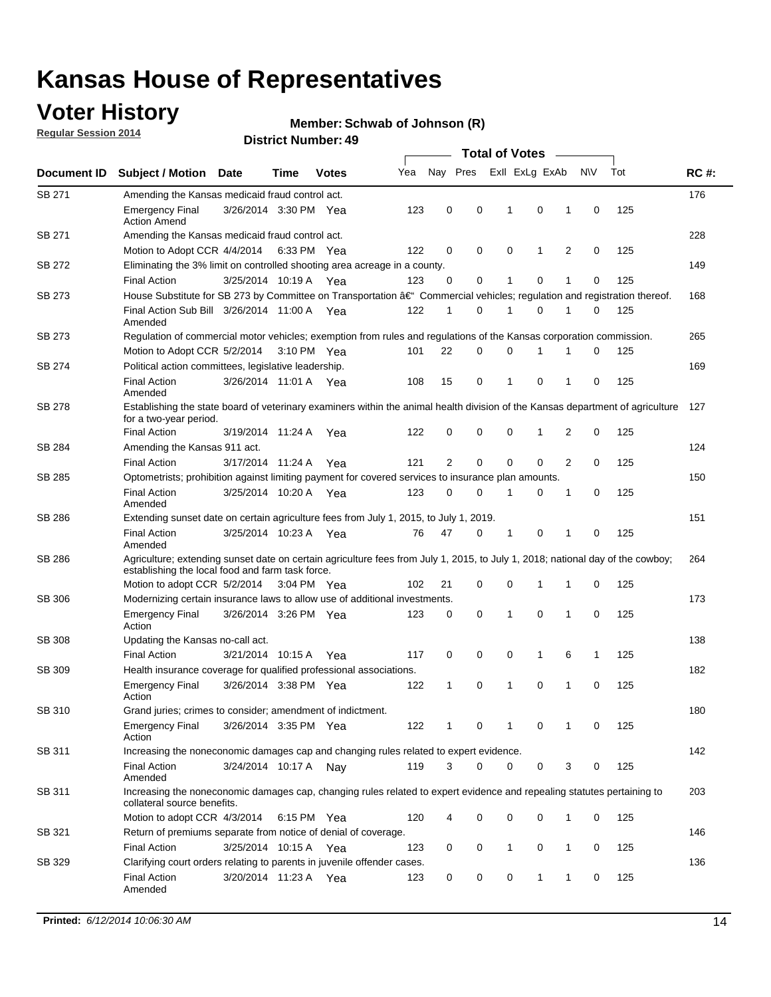## **Voter History**

**Regular Session 2014**

#### **Member: Schwab of Johnson (R)**

|               |                                                                                                                                                                                    |                       |             |              |     |          |          | <b>Total of Votes</b> |              |   |             |     |             |
|---------------|------------------------------------------------------------------------------------------------------------------------------------------------------------------------------------|-----------------------|-------------|--------------|-----|----------|----------|-----------------------|--------------|---|-------------|-----|-------------|
| Document ID   | <b>Subject / Motion</b>                                                                                                                                                            | <b>Date</b>           | Time        | <b>Votes</b> | Yea | Nay Pres |          | Exll ExLg ExAb        |              |   | <b>NV</b>   | Tot | <b>RC#:</b> |
| SB 271        | Amending the Kansas medicaid fraud control act.                                                                                                                                    |                       |             |              |     |          |          |                       |              |   |             |     | 176         |
|               | <b>Emergency Final</b><br><b>Action Amend</b>                                                                                                                                      | 3/26/2014 3:30 PM Yea |             |              | 123 | 0        | 0        | 1                     | $\mathbf 0$  | 1 | $\mathbf 0$ | 125 |             |
| SB 271        | Amending the Kansas medicaid fraud control act.                                                                                                                                    |                       |             |              |     |          |          |                       |              |   |             |     | 228         |
|               | Motion to Adopt CCR 4/4/2014 6:33 PM Yea                                                                                                                                           |                       |             |              | 122 | 0        | 0        | $\mathbf 0$           | 1            | 2 | $\mathbf 0$ | 125 |             |
| SB 272        | Eliminating the 3% limit on controlled shooting area acreage in a county.                                                                                                          |                       |             |              |     |          |          |                       |              |   |             |     | 149         |
|               | <b>Final Action</b>                                                                                                                                                                | 3/25/2014 10:19 A Yea |             |              | 123 | $\Omega$ | 0        | 1                     | 0            | 1 | $\mathbf 0$ | 125 |             |
| SB 273        | House Substitute for SB 273 by Committee on Transportation †Commercial vehicles; regulation and registration thereof.                                                              |                       |             |              |     |          |          |                       |              |   |             |     | 168         |
|               | Final Action Sub Bill 3/26/2014 11:00 A Yea<br>Amended                                                                                                                             |                       |             |              | 122 | 1        | 0        | 1                     | 0            | 1 | 0           | 125 |             |
| SB 273        | Regulation of commercial motor vehicles; exemption from rules and regulations of the Kansas corporation commission.                                                                |                       |             |              |     |          |          |                       |              |   |             |     | 265         |
|               | Motion to Adopt CCR 5/2/2014                                                                                                                                                       |                       | 3:10 PM Yea |              | 101 | 22       | 0        | 0                     |              |   | 0           | 125 |             |
| SB 274        | Political action committees, legislative leadership.                                                                                                                               |                       |             |              |     |          |          |                       |              |   |             |     | 169         |
|               | <b>Final Action</b><br>Amended                                                                                                                                                     | 3/26/2014 11:01 A Yea |             |              | 108 | 15       | 0        | 1                     | 0            | 1 | 0           | 125 |             |
| <b>SB 278</b> | Establishing the state board of veterinary examiners within the animal health division of the Kansas department of agriculture<br>for a two-year period.                           |                       |             |              |     |          |          |                       |              |   |             |     | 127         |
|               | <b>Final Action</b>                                                                                                                                                                | 3/19/2014 11:24 A     |             | Yea          | 122 | 0        | 0        | $\mathbf 0$           | 1            | 2 | 0           | 125 |             |
| SB 284        | Amending the Kansas 911 act.                                                                                                                                                       |                       |             |              |     |          |          |                       |              |   |             |     | 124         |
|               | <b>Final Action</b>                                                                                                                                                                | 3/17/2014 11:24 A     |             | Yea          | 121 | 2        | 0        | 0                     | 0            | 2 | 0           | 125 |             |
| SB 285        | Optometrists; prohibition against limiting payment for covered services to insurance plan amounts.                                                                                 |                       |             |              |     |          |          |                       |              |   |             |     | 150         |
|               | <b>Final Action</b><br>Amended                                                                                                                                                     | 3/25/2014 10:20 A Yea |             |              | 123 | 0        | 0        | 1                     | 0            | 1 | 0           | 125 |             |
| SB 286        | Extending sunset date on certain agriculture fees from July 1, 2015, to July 1, 2019.                                                                                              |                       |             |              |     |          |          |                       |              |   |             |     | 151         |
|               | <b>Final Action</b><br>Amended                                                                                                                                                     | 3/25/2014 10:23 A Yea |             |              | 76  | 47       | 0        | 1                     | 0            | 1 | $\mathbf 0$ | 125 |             |
| SB 286        | Agriculture; extending sunset date on certain agriculture fees from July 1, 2015, to July 1, 2018; national day of the cowboy;<br>establishing the local food and farm task force. |                       |             |              |     |          |          |                       |              |   |             |     | 264         |
|               | Motion to adopt CCR 5/2/2014 3:04 PM Yea                                                                                                                                           |                       |             |              | 102 | 21       | 0        | 0                     | 1            | 1 | 0           | 125 |             |
| SB 306        | Modernizing certain insurance laws to allow use of additional investments.                                                                                                         |                       |             |              |     |          |          |                       |              |   |             |     | 173         |
|               | Emergency Final<br>Action                                                                                                                                                          | 3/26/2014 3:26 PM Yea |             |              | 123 | 0        | 0        | 1                     | $\mathbf 0$  | 1 | $\mathbf 0$ | 125 |             |
| <b>SB 308</b> | Updating the Kansas no-call act.                                                                                                                                                   |                       |             |              |     |          |          |                       |              |   |             |     | 138         |
|               | <b>Final Action</b>                                                                                                                                                                | 3/21/2014 10:15 A     |             | Yea          | 117 | 0        | 0        | 0                     | $\mathbf{1}$ | 6 | 1           | 125 |             |
| SB 309        | Health insurance coverage for qualified professional associations.                                                                                                                 |                       |             |              |     |          |          |                       |              |   |             |     | 182         |
|               | <b>Emergency Final</b><br>Action                                                                                                                                                   | 3/26/2014 3:38 PM Yea |             |              | 122 | 1        | 0        | $\mathbf{1}$          | 0            | 1 | $\mathbf 0$ | 125 |             |
| SB 310        | Grand juries; crimes to consider; amendment of indictment.                                                                                                                         |                       |             |              |     |          |          |                       |              |   |             |     | 180         |
|               | <b>Emergency Final</b><br>Action                                                                                                                                                   | 3/26/2014 3:35 PM Yea |             |              | 122 | 1        | 0        | 1                     | 0            | 1 | 0           | 125 |             |
| SB 311        | Increasing the noneconomic damages cap and changing rules related to expert evidence.                                                                                              |                       |             |              |     |          |          |                       |              |   |             |     | 142         |
|               | <b>Final Action</b><br>Amended                                                                                                                                                     | 3/24/2014 10:17 A Nay |             |              | 119 | 3        | $\Omega$ | 0                     | 0            | 3 | 0           | 125 |             |
| SB 311        | Increasing the noneconomic damages cap, changing rules related to expert evidence and repealing statutes pertaining to<br>collateral source benefits.                              |                       |             |              |     |          |          |                       |              |   |             |     | 203         |
|               | Motion to adopt CCR 4/3/2014 6:15 PM Yea                                                                                                                                           |                       |             |              | 120 | 4        | 0        | 0                     | 0            | 1 | 0           | 125 |             |
| SB 321        | Return of premiums separate from notice of denial of coverage.                                                                                                                     |                       |             |              |     |          |          |                       |              |   |             |     | 146         |
|               | <b>Final Action</b>                                                                                                                                                                | 3/25/2014 10:15 A Yea |             |              | 123 | 0        | 0        | 1                     | 0            | 1 | 0           | 125 |             |
| SB 329        | Clarifying court orders relating to parents in juvenile offender cases.<br><b>Final Action</b><br>Amended                                                                          | 3/20/2014 11:23 A Yea |             |              | 123 | 0        | 0        | 0                     | $\mathbf{1}$ | 1 | 0           | 125 | 136         |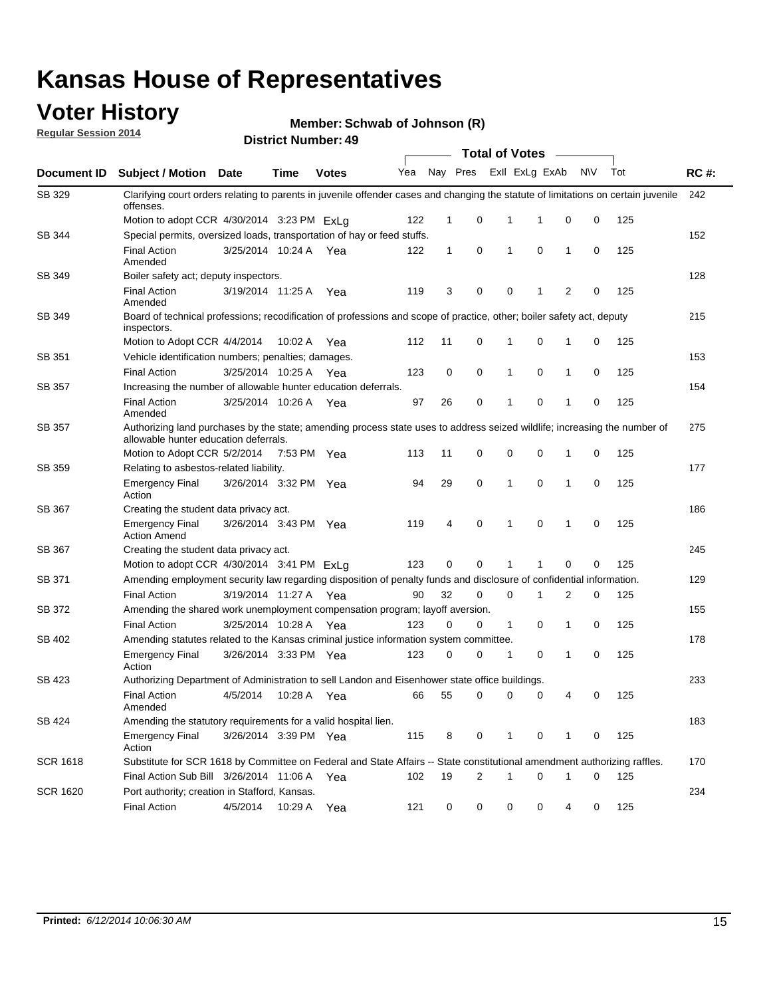### **Voter History**

**Regular Session 2014**

#### **Member: Schwab of Johnson (R)**

|                 |                                                                                                                                                                    |                       |             |              | <b>Total of Votes</b> |              |          |              |                |                |           |     |             |
|-----------------|--------------------------------------------------------------------------------------------------------------------------------------------------------------------|-----------------------|-------------|--------------|-----------------------|--------------|----------|--------------|----------------|----------------|-----------|-----|-------------|
| Document ID     | Subject / Motion Date                                                                                                                                              |                       | <b>Time</b> | <b>Votes</b> | Yea                   |              | Nay Pres |              | Exll ExLg ExAb |                | <b>NV</b> | Tot | <b>RC#:</b> |
| SB 329          | Clarifying court orders relating to parents in juvenile offender cases and changing the statute of limitations on certain juvenile<br>offenses.                    |                       |             |              |                       |              |          |              |                |                |           |     | 242         |
|                 | Motion to adopt CCR 4/30/2014 3:23 PM ExLa                                                                                                                         |                       |             |              | 122                   | $\mathbf 1$  | 0        | 1            | -1             | 0              | 0         | 125 |             |
| SB 344          | Special permits, oversized loads, transportation of hay or feed stuffs.                                                                                            |                       |             |              |                       |              |          |              |                |                |           |     | 152         |
|                 | <b>Final Action</b><br>Amended                                                                                                                                     | 3/25/2014 10:24 A     |             | Yea          | 122                   | $\mathbf{1}$ | 0        | 1            | 0              | 1              | 0         | 125 |             |
| SB 349          | Boiler safety act; deputy inspectors.                                                                                                                              |                       |             |              |                       |              |          |              |                |                |           |     | 128         |
|                 | <b>Final Action</b><br>Amended                                                                                                                                     | 3/19/2014 11:25 A     |             | Yea          | 119                   | 3            | 0        | 0            | 1              | $\overline{2}$ | 0         | 125 |             |
| SB 349          | Board of technical professions; recodification of professions and scope of practice, other; boiler safety act, deputy<br>inspectors.                               |                       |             |              |                       |              |          |              |                |                |           |     | 215         |
|                 | Motion to Adopt CCR 4/4/2014                                                                                                                                       |                       | 10:02 A     | Yea          | 112                   | 11           | 0        | 1            | 0              | 1              | 0         | 125 |             |
| SB 351          | Vehicle identification numbers; penalties; damages.                                                                                                                |                       |             |              |                       |              |          |              |                |                |           |     | 153         |
|                 | <b>Final Action</b>                                                                                                                                                | 3/25/2014 10:25 A     |             | Yea          | 123                   | 0            | 0        | 1            | 0              | 1              | 0         | 125 |             |
| <b>SB 357</b>   | Increasing the number of allowable hunter education deferrals.                                                                                                     |                       |             |              |                       |              |          |              |                |                |           |     | 154         |
|                 | <b>Final Action</b><br>Amended                                                                                                                                     | 3/25/2014 10:26 A     |             | Yea          | 97                    | 26           | 0        | 1            | 0              | 1              | 0         | 125 |             |
| <b>SB 357</b>   | Authorizing land purchases by the state; amending process state uses to address seized wildlife; increasing the number of<br>allowable hunter education deferrals. |                       |             |              |                       |              |          |              |                |                |           |     | 275         |
|                 | Motion to Adopt CCR 5/2/2014                                                                                                                                       |                       | 7:53 PM Yea |              | 113                   | 11           | 0        | 0            | $\mathbf 0$    | 1              | 0         | 125 |             |
| SB 359          | Relating to asbestos-related liability.                                                                                                                            |                       |             |              |                       |              |          |              |                |                |           |     | 177         |
|                 | <b>Emergency Final</b><br>Action                                                                                                                                   | 3/26/2014 3:32 PM Yea |             |              | 94                    | 29           | 0        | 1            | $\mathbf 0$    | $\mathbf{1}$   | 0         | 125 |             |
| SB 367          | Creating the student data privacy act.                                                                                                                             |                       |             |              |                       |              |          |              |                |                |           |     | 186         |
|                 | <b>Emergency Final</b><br><b>Action Amend</b>                                                                                                                      | 3/26/2014 3:43 PM Yea |             |              | 119                   | 4            | 0        | 1            | 0              | 1              | 0         | 125 |             |
| SB 367          | Creating the student data privacy act.                                                                                                                             |                       |             |              |                       |              |          |              |                |                |           |     | 245         |
|                 | Motion to adopt CCR 4/30/2014 3:41 PM ExLg                                                                                                                         |                       |             |              | 123                   | 0            | $\Omega$ |              | 1              | 0              | 0         | 125 |             |
| SB 371          | Amending employment security law regarding disposition of penalty funds and disclosure of confidential information.                                                |                       |             |              |                       |              |          |              |                |                |           |     | 129         |
|                 | <b>Final Action</b>                                                                                                                                                | 3/19/2014 11:27 A     |             | Yea          | 90                    | 32           | 0        | $\mathbf 0$  | 1              | 2              | 0         | 125 |             |
| SB 372          | Amending the shared work unemployment compensation program; layoff aversion.                                                                                       |                       |             |              |                       |              |          |              |                |                |           |     | 155         |
|                 | <b>Final Action</b>                                                                                                                                                | 3/25/2014 10:28 A     |             | Yea          | 123                   | 0            | 0        | $\mathbf{1}$ | 0              | 1              | 0         | 125 |             |
| SB 402          | Amending statutes related to the Kansas criminal justice information system committee.                                                                             |                       |             |              |                       |              |          |              |                |                |           |     | 178         |
|                 | <b>Emergency Final</b><br>Action                                                                                                                                   | 3/26/2014 3:33 PM Yea |             |              | 123                   | 0            | 0        | 1            | 0              | 1              | 0         | 125 |             |
| SB 423          | Authorizing Department of Administration to sell Landon and Eisenhower state office buildings.                                                                     |                       |             |              |                       |              |          |              |                |                |           |     | 233         |
|                 | <b>Final Action</b><br>Amended                                                                                                                                     | 4/5/2014              | 10:28 A Yea |              | 66                    | 55           | 0        | 0            | 0              | 4              | 0         | 125 |             |
| SB 424          | Amending the statutory requirements for a valid hospital lien.                                                                                                     |                       |             |              |                       |              |          |              |                |                |           |     | 183         |
|                 | <b>Emergency Final</b><br>Action                                                                                                                                   | 3/26/2014 3:39 PM Yea |             |              | 115                   | 8            | 0        | 1            | 0              | 1              | 0         | 125 |             |
| <b>SCR 1618</b> | Substitute for SCR 1618 by Committee on Federal and State Affairs -- State constitutional amendment authorizing raffles.                                           |                       |             |              |                       |              |          |              |                |                |           |     | 170         |
|                 | Final Action Sub Bill 3/26/2014 11:06 A Yea                                                                                                                        |                       |             |              | 102                   | 19           | 2        | 1            | 0              | 1              | 0         | 125 |             |
| <b>SCR 1620</b> | Port authority; creation in Stafford, Kansas.                                                                                                                      |                       |             |              |                       |              |          |              |                |                |           |     | 234         |
|                 | <b>Final Action</b>                                                                                                                                                | 4/5/2014              | 10:29 A Yea |              | 121                   | 0            | 0        | 0            | 0              | 4              | 0         | 125 |             |